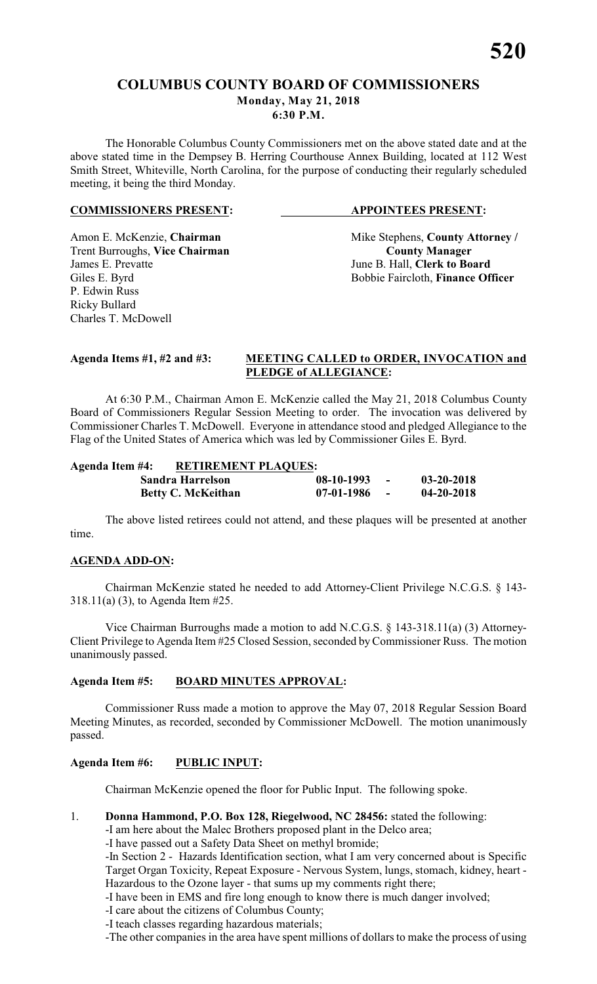# **COLUMBUS COUNTY BOARD OF COMMISSIONERS Monday, May 21, 2018**

**6:30 P.M.**

The Honorable Columbus County Commissioners met on the above stated date and at the above stated time in the Dempsey B. Herring Courthouse Annex Building, located at 112 West Smith Street, Whiteville, North Carolina, for the purpose of conducting their regularly scheduled meeting, it being the third Monday.

#### **COMMISSIONERS PRESENT: APPOINTEES PRESENT:**

**Trent Burroughs, Vice Chairman**<br>James E. Prevatte P. Edwin Russ Ricky Bullard Charles T. McDowell

Amon E. McKenzie, **Chairman** Mike Stephens, **County Attorney** / **Trent Burroughs, Vice Chairman County Manager** June B. Hall, **Clerk to Board** Giles E. Byrd Bobbie Faircloth, **Finance Officer** 

# **Agenda Items #1, #2 and #3: MEETING CALLED to ORDER, INVOCATION and PLEDGE of ALLEGIANCE:**

At 6:30 P.M., Chairman Amon E. McKenzie called the May 21, 2018 Columbus County Board of Commissioners Regular Session Meeting to order. The invocation was delivered by Commissioner Charles T. McDowell. Everyone in attendance stood and pledged Allegiance to the Flag of the United States of America which was led by Commissioner Giles E. Byrd.

| Agenda Item #4: | <b>RETIREMENT PLAQUES:</b> |              |        |                  |  |  |
|-----------------|----------------------------|--------------|--------|------------------|--|--|
|                 | Sandra Harrelson           | $08-10-1993$ | $\sim$ | $03 - 20 - 2018$ |  |  |
|                 | <b>Betty C. McKeithan</b>  | $07-01-1986$ | $\sim$ | $04 - 20 - 2018$ |  |  |

The above listed retirees could not attend, and these plaques will be presented at another time.

# **AGENDA ADD-ON:**

Chairman McKenzie stated he needed to add Attorney-Client Privilege N.C.G.S. § 143- 318.11(a) (3), to Agenda Item #25.

Vice Chairman Burroughs made a motion to add N.C.G.S. § 143-318.11(a) (3) Attorney-Client Privilege to Agenda Item #25 Closed Session, seconded by Commissioner Russ. The motion unanimously passed.

# **Agenda Item #5: BOARD MINUTES APPROVAL:**

Commissioner Russ made a motion to approve the May 07, 2018 Regular Session Board Meeting Minutes, as recorded, seconded by Commissioner McDowell. The motion unanimously passed.

# **Agenda Item #6: PUBLIC INPUT:**

Chairman McKenzie opened the floor for Public Input. The following spoke.

1. **Donna Hammond, P.O. Box 128, Riegelwood, NC 28456:** stated the following:

-I am here about the Malec Brothers proposed plant in the Delco area;

-I have passed out a Safety Data Sheet on methyl bromide;

-In Section 2 - Hazards Identification section, what I am very concerned about is Specific Target Organ Toxicity, Repeat Exposure - Nervous System, lungs, stomach, kidney, heart - Hazardous to the Ozone layer - that sums up my comments right there;

-I have been in EMS and fire long enough to know there is much danger involved;

- -I care about the citizens of Columbus County;
- -I teach classes regarding hazardous materials;

-The other companies in the area have spent millions of dollars to make the process of using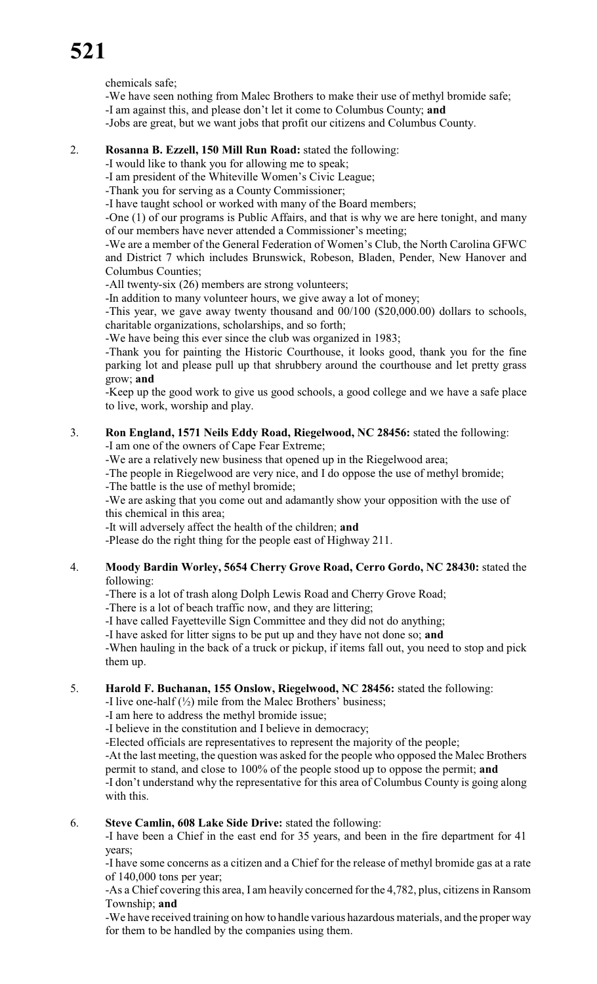chemicals safe;

-We have seen nothing from Malec Brothers to make their use of methyl bromide safe;

-I am against this, and please don't let it come to Columbus County; **and**

-Jobs are great, but we want jobs that profit our citizens and Columbus County.

# 2. **Rosanna B. Ezzell, 150 Mill Run Road:** stated the following:

-I would like to thank you for allowing me to speak;

-I am president of the Whiteville Women's Civic League;

-Thank you for serving as a County Commissioner;

-I have taught school or worked with many of the Board members;

-One (1) of our programs is Public Affairs, and that is why we are here tonight, and many of our members have never attended a Commissioner's meeting;

-We are a member of the General Federation of Women's Club, the North Carolina GFWC and District 7 which includes Brunswick, Robeson, Bladen, Pender, New Hanover and Columbus Counties;

-All twenty-six (26) members are strong volunteers;

-In addition to many volunteer hours, we give away a lot of money;

-This year, we gave away twenty thousand and 00/100 (\$20,000.00) dollars to schools, charitable organizations, scholarships, and so forth;

-We have being this ever since the club was organized in 1983;

-Thank you for painting the Historic Courthouse, it looks good, thank you for the fine parking lot and please pull up that shrubbery around the courthouse and let pretty grass grow; **and**

-Keep up the good work to give us good schools, a good college and we have a safe place to live, work, worship and play.

#### 3. **Ron England, 1571 Neils Eddy Road, Riegelwood, NC 28456:** stated the following: -I am one of the owners of Cape Fear Extreme;

-We are a relatively new business that opened up in the Riegelwood area;

-The people in Riegelwood are very nice, and I do oppose the use of methyl bromide;

-The battle is the use of methyl bromide;

-We are asking that you come out and adamantly show your opposition with the use of this chemical in this area;

-It will adversely affect the health of the children; **and**

-Please do the right thing for the people east of Highway 211.

# 4. **Moody Bardin Worley, 5654 Cherry Grove Road, Cerro Gordo, NC 28430:** stated the following:

-There is a lot of trash along Dolph Lewis Road and Cherry Grove Road;

-There is a lot of beach traffic now, and they are littering;

-I have called Fayetteville Sign Committee and they did not do anything;

-I have asked for litter signs to be put up and they have not done so; **and**

-When hauling in the back of a truck or pickup, if items fall out, you need to stop and pick them up.

# 5. **Harold F. Buchanan, 155 Onslow, Riegelwood, NC 28456:** stated the following:

-I live one-half  $(\frac{1}{2})$  mile from the Malec Brothers' business;

-I am here to address the methyl bromide issue;

-I believe in the constitution and I believe in democracy;

-Elected officials are representatives to represent the majority of the people;

-At the last meeting, the question was asked for the people who opposed the Malec Brothers permit to stand, and close to 100% of the people stood up to oppose the permit; **and**

-I don't understand why the representative for this area of Columbus County is going along with this.

# 6. **Steve Camlin, 608 Lake Side Drive:** stated the following:

-I have been a Chief in the east end for 35 years, and been in the fire department for 41 years;

-I have some concerns as a citizen and a Chief for the release of methyl bromide gas at a rate of 140,000 tons per year;

-As a Chief covering this area, I am heavily concerned for the 4,782, plus, citizens in Ransom Township; **and**

-We have received training on how to handle various hazardous materials, and the proper way for them to be handled by the companies using them.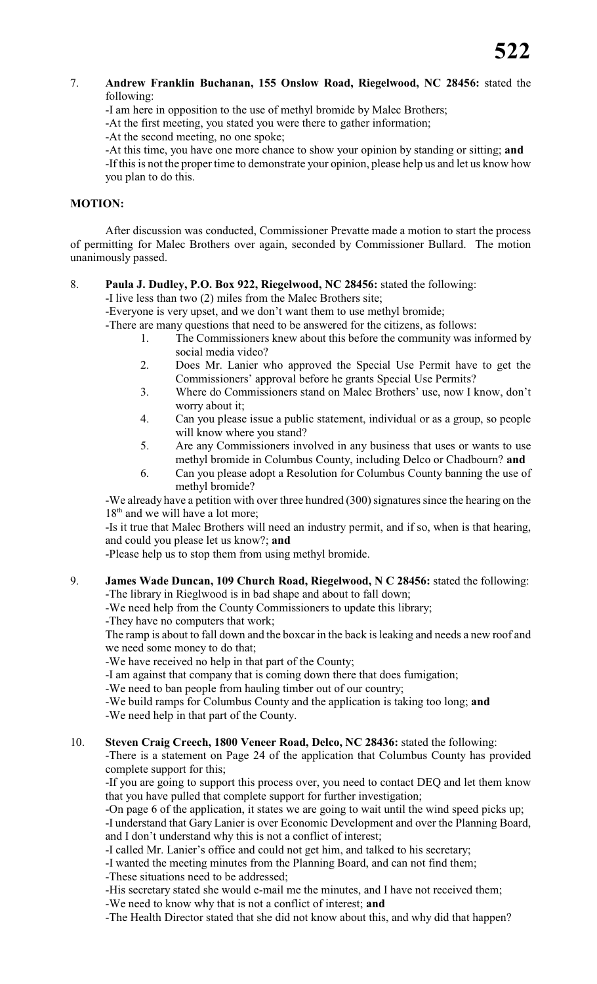- 7. **Andrew Franklin Buchanan, 155 Onslow Road, Riegelwood, NC 28456:** stated the following:
	- -I am here in opposition to the use of methyl bromide by Malec Brothers;

-At the first meeting, you stated you were there to gather information;

-At the second meeting, no one spoke;

-At this time, you have one more chance to show your opinion by standing or sitting; **and** -If this is not the proper time to demonstrate your opinion, please help us and let us know how you plan to do this.

# **MOTION:**

After discussion was conducted, Commissioner Prevatte made a motion to start the process of permitting for Malec Brothers over again, seconded by Commissioner Bullard. The motion unanimously passed.

# 8. **Paula J. Dudley, P.O. Box 922, Riegelwood, NC 28456:** stated the following:

-I live less than two (2) miles from the Malec Brothers site;

-Everyone is very upset, and we don't want them to use methyl bromide;

-There are many questions that need to be answered for the citizens, as follows:

- 1. The Commissioners knew about this before the community was informed by social media video?
- 2. Does Mr. Lanier who approved the Special Use Permit have to get the Commissioners' approval before he grants Special Use Permits?
- 3. Where do Commissioners stand on Malec Brothers' use, now I know, don't worry about it;
- 4. Can you please issue a public statement, individual or as a group, so people will know where you stand?
- 5. Are any Commissioners involved in any business that uses or wants to use methyl bromide in Columbus County, including Delco or Chadbourn? **and**
- 6. Can you please adopt a Resolution for Columbus County banning the use of methyl bromide?

-We already have a petition with over three hundred (300) signatures since the hearing on the 18<sup>th</sup> and we will have a lot more;

-Is it true that Malec Brothers will need an industry permit, and if so, when is that hearing, and could you please let us know?; **and**

-Please help us to stop them from using methyl bromide.

9. **James Wade Duncan, 109 Church Road, Riegelwood, N C 28456:** stated the following: -The library in Rieglwood is in bad shape and about to fall down;

-We need help from the County Commissioners to update this library;

-They have no computers that work;

The ramp is about to fall down and the boxcar in the back is leaking and needs a new roof and we need some money to do that;

-We have received no help in that part of the County;

-I am against that company that is coming down there that does fumigation;

-We need to ban people from hauling timber out of our country;

-We build ramps for Columbus County and the application is taking too long; **and** -We need help in that part of the County.

# 10. **Steven Craig Creech, 1800 Veneer Road, Delco, NC 28436:** stated the following:

-There is a statement on Page 24 of the application that Columbus County has provided complete support for this;

-If you are going to support this process over, you need to contact DEQ and let them know that you have pulled that complete support for further investigation;

-On page 6 of the application, it states we are going to wait until the wind speed picks up; -I understand that Gary Lanier is over Economic Development and over the Planning Board, and I don't understand why this is not a conflict of interest;

-I called Mr. Lanier's office and could not get him, and talked to his secretary;

-I wanted the meeting minutes from the Planning Board, and can not find them;

-These situations need to be addressed;

-His secretary stated she would e-mail me the minutes, and I have not received them;

-We need to know why that is not a conflict of interest; **and**

-The Health Director stated that she did not know about this, and why did that happen?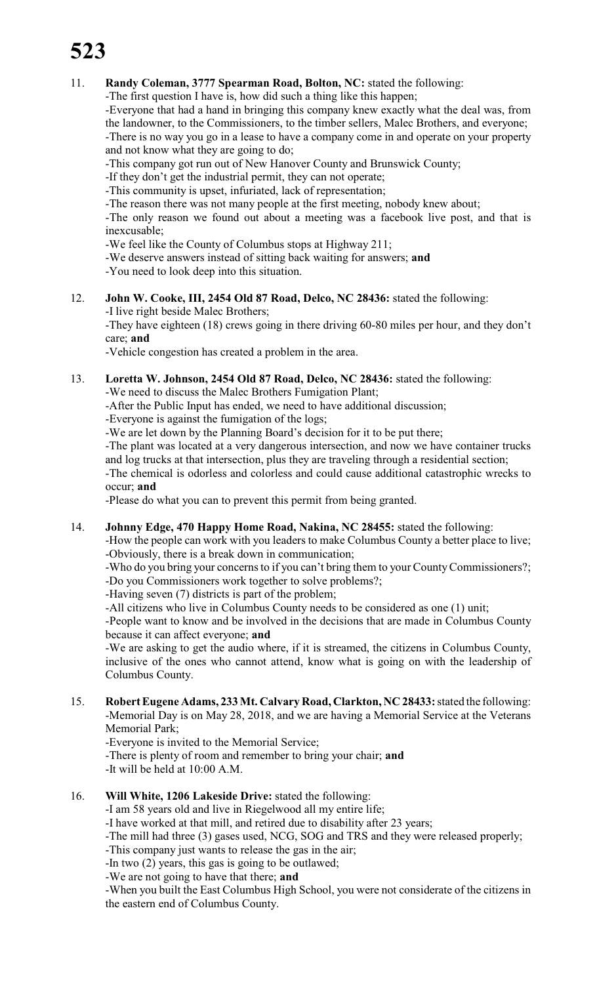# **523**

# 11. **Randy Coleman, 3777 Spearman Road, Bolton, NC:** stated the following:

-The first question I have is, how did such a thing like this happen;

-Everyone that had a hand in bringing this company knew exactly what the deal was, from the landowner, to the Commissioners, to the timber sellers, Malec Brothers, and everyone; -There is no way you go in a lease to have a company come in and operate on your property and not know what they are going to do;

-This company got run out of New Hanover County and Brunswick County;

-If they don't get the industrial permit, they can not operate;

-This community is upset, infuriated, lack of representation;

-The reason there was not many people at the first meeting, nobody knew about;

-The only reason we found out about a meeting was a facebook live post, and that is inexcusable;

-We feel like the County of Columbus stops at Highway 211;

-We deserve answers instead of sitting back waiting for answers; **and**

-You need to look deep into this situation.

# 12. **John W. Cooke, III, 2454 Old 87 Road, Delco, NC 28436:** stated the following: -I live right beside Malec Brothers;

-They have eighteen (18) crews going in there driving 60-80 miles per hour, and they don't care; **and**

-Vehicle congestion has created a problem in the area.

13. **Loretta W. Johnson, 2454 Old 87 Road, Delco, NC 28436:** stated the following: -We need to discuss the Malec Brothers Fumigation Plant;

-After the Public Input has ended, we need to have additional discussion;

-Everyone is against the fumigation of the logs;

-We are let down by the Planning Board's decision for it to be put there;

-The plant was located at a very dangerous intersection, and now we have container trucks and log trucks at that intersection, plus they are traveling through a residential section;

-The chemical is odorless and colorless and could cause additional catastrophic wrecks to occur; **and**

-Please do what you can to prevent this permit from being granted.

14. **Johnny Edge, 470 Happy Home Road, Nakina, NC 28455:** stated the following:

-How the people can work with you leaders to make Columbus County a better place to live; -Obviously, there is a break down in communication;

-Who do you bring your concerns to if you can't bring them to your County Commissioners?;

-Do you Commissioners work together to solve problems?;

-Having seven (7) districts is part of the problem;

-All citizens who live in Columbus County needs to be considered as one (1) unit;

-People want to know and be involved in the decisions that are made in Columbus County because it can affect everyone; **and**

-We are asking to get the audio where, if it is streamed, the citizens in Columbus County, inclusive of the ones who cannot attend, know what is going on with the leadership of Columbus County.

15. **RobertEugene Adams, 233 Mt. Calvary Road, Clarkton, NC 28433:** stated the following: -Memorial Day is on May 28, 2018, and we are having a Memorial Service at the Veterans Memorial Park;

-Everyone is invited to the Memorial Service;

-There is plenty of room and remember to bring your chair; **and**

-It will be held at 10:00 A.M.

# 16. **Will White, 1206 Lakeside Drive:** stated the following:

-I am 58 years old and live in Riegelwood all my entire life;

-I have worked at that mill, and retired due to disability after 23 years;

-The mill had three (3) gases used, NCG, SOG and TRS and they were released properly;

-This company just wants to release the gas in the air;

-In two (2) years, this gas is going to be outlawed;

-We are not going to have that there; **and**

-When you built the East Columbus High School, you were not considerate of the citizens in the eastern end of Columbus County.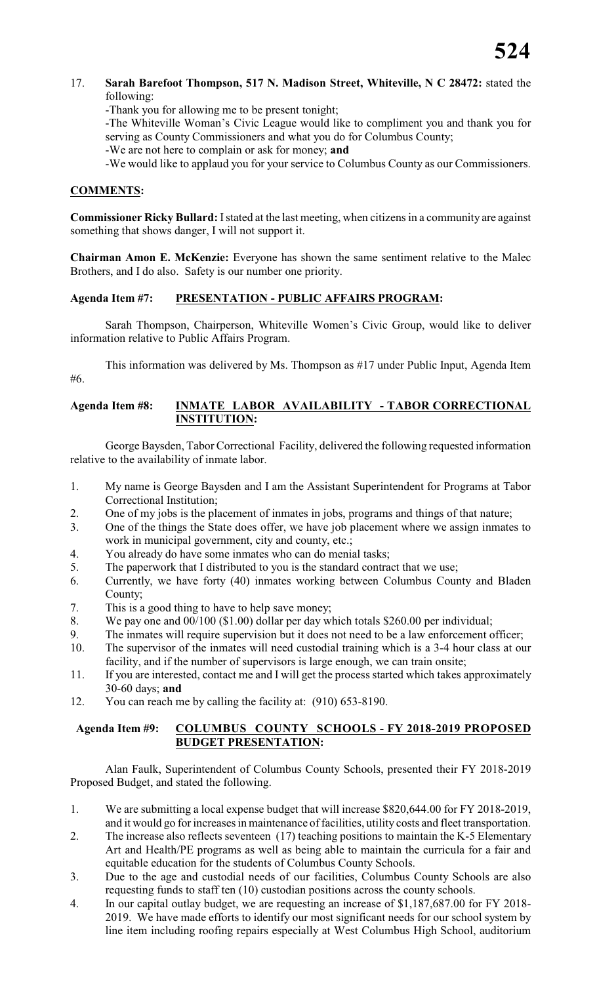# 17. **Sarah Barefoot Thompson, 517 N. Madison Street, Whiteville, N C 28472:** stated the following:

-Thank you for allowing me to be present tonight;

-The Whiteville Woman's Civic League would like to compliment you and thank you for serving as County Commissioners and what you do for Columbus County;

-We are not here to complain or ask for money; **and**

-We would like to applaud you for your service to Columbus County as our Commissioners.

# **COMMENTS:**

**Commissioner Ricky Bullard:** I stated at the last meeting, when citizens in a community are against something that shows danger, I will not support it.

**Chairman Amon E. McKenzie:** Everyone has shown the same sentiment relative to the Malec Brothers, and I do also. Safety is our number one priority.

# **Agenda Item #7: PRESENTATION - PUBLIC AFFAIRS PROGRAM:**

Sarah Thompson, Chairperson, Whiteville Women's Civic Group, would like to deliver information relative to Public Affairs Program.

This information was delivered by Ms. Thompson as #17 under Public Input, Agenda Item #6.

# **Agenda Item #8: INMATE LABOR AVAILABILITY - TABOR CORRECTIONAL INSTITUTION:**

George Baysden, Tabor Correctional Facility, delivered the following requested information relative to the availability of inmate labor.

- 1. My name is George Baysden and I am the Assistant Superintendent for Programs at Tabor Correctional Institution;
- 2. One of my jobs is the placement of inmates in jobs, programs and things of that nature;
- 3. One of the things the State does offer, we have job placement where we assign inmates to work in municipal government, city and county, etc.;
- 4. You already do have some inmates who can do menial tasks;
- 5. The paperwork that I distributed to you is the standard contract that we use;
- 6. Currently, we have forty (40) inmates working between Columbus County and Bladen County;
- 7. This is a good thing to have to help save money;
- 8. We pay one and 00/100 (\$1.00) dollar per day which totals \$260.00 per individual;
- 9. The inmates will require supervision but it does not need to be a law enforcement officer;
- 10. The supervisor of the inmates will need custodial training which is a 3-4 hour class at our facility, and if the number of supervisors is large enough, we can train onsite;
- 11. If you are interested, contact me and I will get the process started which takes approximately 30-60 days; **and**
- 12. You can reach me by calling the facility at: (910) 653-8190.

# **Agenda Item #9: COLUMBUS COUNTY SCHOOLS - FY 2018-2019 PROPOSED BUDGET PRESENTATION:**

Alan Faulk, Superintendent of Columbus County Schools, presented their FY 2018-2019 Proposed Budget, and stated the following.

- 1. We are submitting a local expense budget that will increase \$820,644.00 for FY 2018-2019, and it would go for increases in maintenance of facilities, utility costs and fleet transportation.
- 2. The increase also reflects seventeen (17) teaching positions to maintain the K-5 Elementary Art and Health/PE programs as well as being able to maintain the curricula for a fair and equitable education for the students of Columbus County Schools.
- 3. Due to the age and custodial needs of our facilities, Columbus County Schools are also requesting funds to staff ten (10) custodian positions across the county schools.
- 4. In our capital outlay budget, we are requesting an increase of \$1,187,687.00 for FY 2018- 2019. We have made efforts to identify our most significant needs for our school system by line item including roofing repairs especially at West Columbus High School, auditorium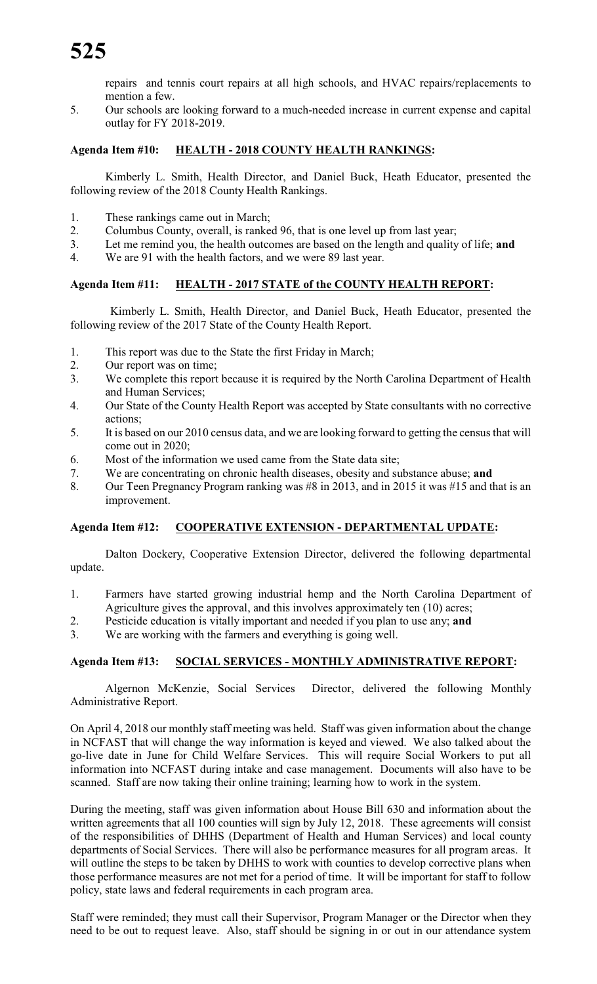repairs and tennis court repairs at all high schools, and HVAC repairs/replacements to mention a few.

5. Our schools are looking forward to a much-needed increase in current expense and capital outlay for FY 2018-2019.

# **Agenda Item #10: HEALTH - 2018 COUNTY HEALTH RANKINGS:**

Kimberly L. Smith, Health Director, and Daniel Buck, Heath Educator, presented the following review of the 2018 County Health Rankings.

- 1. These rankings came out in March;
- 2. Columbus County, overall, is ranked 96, that is one level up from last year;
- 3. Let me remind you, the health outcomes are based on the length and quality of life; **and**
- 4. We are 91 with the health factors, and we were 89 last year.

# **Agenda Item #11: HEALTH - 2017 STATE of the COUNTY HEALTH REPORT:**

 Kimberly L. Smith, Health Director, and Daniel Buck, Heath Educator, presented the following review of the 2017 State of the County Health Report.

- 1. This report was due to the State the first Friday in March;
- 2. Our report was on time;
- 3. We complete this report because it is required by the North Carolina Department of Health and Human Services;
- 4. Our State of the County Health Report was accepted by State consultants with no corrective actions;
- 5. It is based on our 2010 census data, and we are looking forward to getting the censusthat will come out in 2020;
- 6. Most of the information we used came from the State data site;
- 7. We are concentrating on chronic health diseases, obesity and substance abuse; **and**
- 8. Our Teen Pregnancy Program ranking was #8 in 2013, and in 2015 it was #15 and that is an improvement.

#### **Agenda Item #12: COOPERATIVE EXTENSION - DEPARTMENTAL UPDATE:**

Dalton Dockery, Cooperative Extension Director, delivered the following departmental update.

- 1. Farmers have started growing industrial hemp and the North Carolina Department of Agriculture gives the approval, and this involves approximately ten (10) acres;
- 2. Pesticide education is vitally important and needed if you plan to use any; **and**
- 3. We are working with the farmers and everything is going well.

#### **Agenda Item #13: SOCIAL SERVICES - MONTHLY ADMINISTRATIVE REPORT:**

Algernon McKenzie, Social Services Director, delivered the following Monthly Administrative Report.

On April 4, 2018 our monthly staff meeting was held. Staff was given information about the change in NCFAST that will change the way information is keyed and viewed. We also talked about the go-live date in June for Child Welfare Services. This will require Social Workers to put all information into NCFAST during intake and case management. Documents will also have to be scanned. Staff are now taking their online training; learning how to work in the system.

During the meeting, staff was given information about House Bill 630 and information about the written agreements that all 100 counties will sign by July 12, 2018. These agreements will consist of the responsibilities of DHHS (Department of Health and Human Services) and local county departments of Social Services. There will also be performance measures for all program areas. It will outline the steps to be taken by DHHS to work with counties to develop corrective plans when those performance measures are not met for a period of time. It will be important for staff to follow policy, state laws and federal requirements in each program area.

Staff were reminded; they must call their Supervisor, Program Manager or the Director when they need to be out to request leave. Also, staff should be signing in or out in our attendance system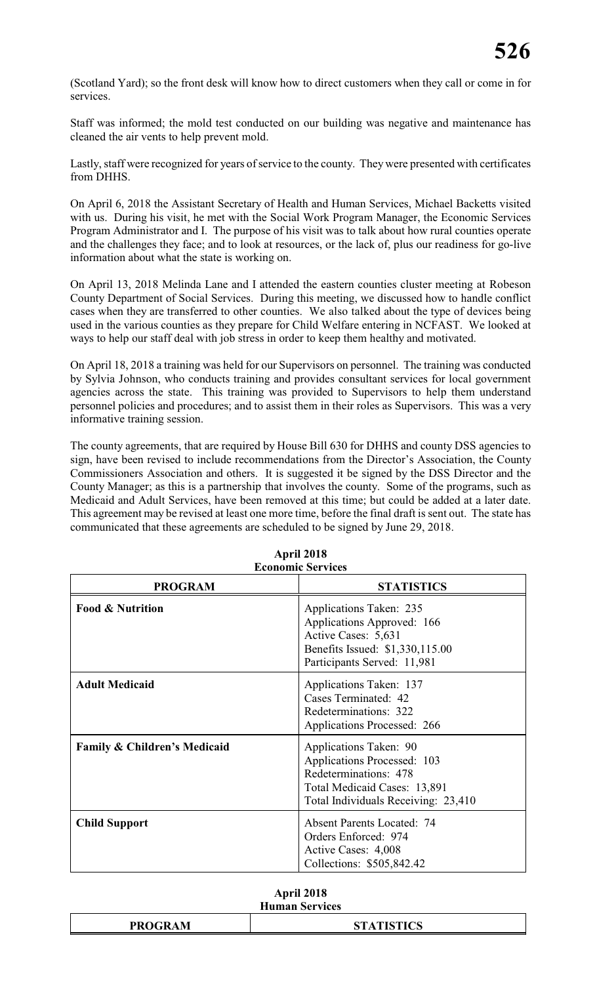(Scotland Yard); so the front desk will know how to direct customers when they call or come in for services.

Staff was informed; the mold test conducted on our building was negative and maintenance has cleaned the air vents to help prevent mold.

Lastly, staff were recognized for years of service to the county. They were presented with certificates from DHHS.

On April 6, 2018 the Assistant Secretary of Health and Human Services, Michael Backetts visited with us. During his visit, he met with the Social Work Program Manager, the Economic Services Program Administrator and I. The purpose of his visit was to talk about how rural counties operate and the challenges they face; and to look at resources, or the lack of, plus our readiness for go-live information about what the state is working on.

On April 13, 2018 Melinda Lane and I attended the eastern counties cluster meeting at Robeson County Department of Social Services. During this meeting, we discussed how to handle conflict cases when they are transferred to other counties. We also talked about the type of devices being used in the various counties as they prepare for Child Welfare entering in NCFAST. We looked at ways to help our staff deal with job stress in order to keep them healthy and motivated.

On April 18, 2018 a training was held for our Supervisors on personnel. The training was conducted by Sylvia Johnson, who conducts training and provides consultant services for local government agencies across the state. This training was provided to Supervisors to help them understand personnel policies and procedures; and to assist them in their roles as Supervisors. This was a very informative training session.

The county agreements, that are required by House Bill 630 for DHHS and county DSS agencies to sign, have been revised to include recommendations from the Director's Association, the County Commissioners Association and others. It is suggested it be signed by the DSS Director and the County Manager; as this is a partnership that involves the county. Some of the programs, such as Medicaid and Adult Services, have been removed at this time; but could be added at a later date. This agreement may be revised at least one more time, before the final draft is sent out. The state has communicated that these agreements are scheduled to be signed by June 29, 2018.

|                                         | <b>ECONOMIC SETVICES</b>                                                                                                                              |
|-----------------------------------------|-------------------------------------------------------------------------------------------------------------------------------------------------------|
| <b>PROGRAM</b>                          | <b>STATISTICS</b>                                                                                                                                     |
| <b>Food &amp; Nutrition</b>             | Applications Taken: 235<br>Applications Approved: 166<br>Active Cases: 5,631<br>Benefits Issued: \$1,330,115.00<br>Participants Served: 11,981        |
| <b>Adult Medicaid</b>                   | Applications Taken: 137<br>Cases Terminated: 42<br>Redeterminations: 322<br>Applications Processed: 266                                               |
| <b>Family &amp; Children's Medicaid</b> | Applications Taken: 90<br>Applications Processed: 103<br>Redeterminations: 478<br>Total Medicaid Cases: 13,891<br>Total Individuals Receiving: 23,410 |
| <b>Child Support</b>                    | <b>Absent Parents Located: 74</b><br>Orders Enforced: 974<br>Active Cases: 4,008<br>Collections: \$505,842.42                                         |

#### **April 2018 Economic Services**

| April 2018            |
|-----------------------|
| <b>Human Services</b> |

| <b>PROGRAM</b> | <b>TISTICS</b><br>$\overline{\phantom{a}}$ |  |  |  |
|----------------|--------------------------------------------|--|--|--|
|                |                                            |  |  |  |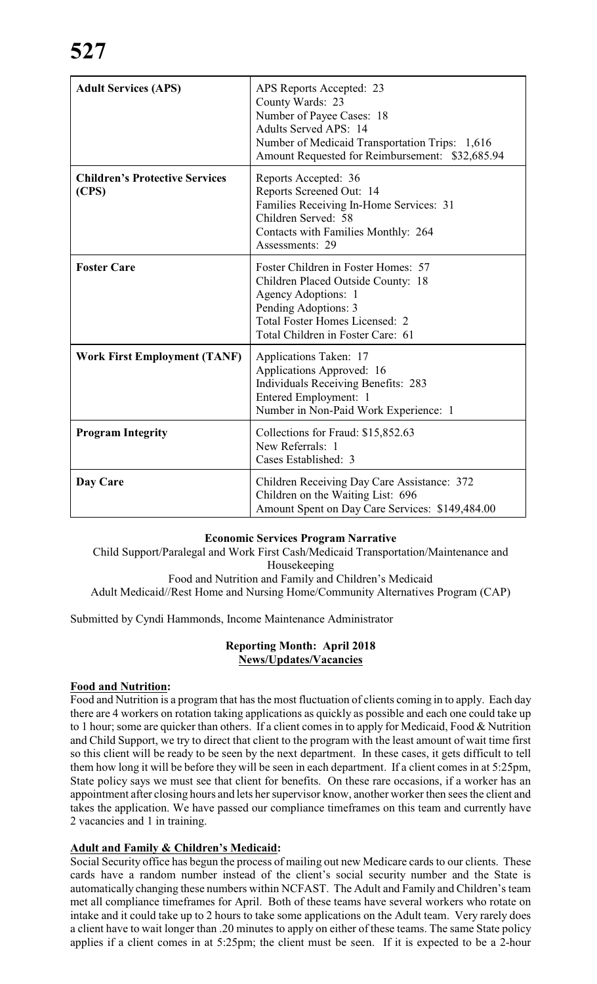| <b>Adult Services (APS)</b>                    | APS Reports Accepted: 23<br>County Wards: 23<br>Number of Payee Cases: 18<br><b>Adults Served APS: 14</b><br>Number of Medicaid Transportation Trips: 1,616<br>Amount Requested for Reimbursement: \$32,685.94 |
|------------------------------------------------|----------------------------------------------------------------------------------------------------------------------------------------------------------------------------------------------------------------|
| <b>Children's Protective Services</b><br>(CPS) | Reports Accepted: 36<br>Reports Screened Out: 14<br>Families Receiving In-Home Services: 31<br>Children Served: 58<br>Contacts with Families Monthly: 264<br>Assessments: 29                                   |
| <b>Foster Care</b>                             | Foster Children in Foster Homes: 57<br>Children Placed Outside County: 18<br>Agency Adoptions: 1<br>Pending Adoptions: 3<br>Total Foster Homes Licensed: 2<br>Total Children in Foster Care: 61                |
| <b>Work First Employment (TANF)</b>            | Applications Taken: 17<br>Applications Approved: 16<br><b>Individuals Receiving Benefits: 283</b><br>Entered Employment: 1<br>Number in Non-Paid Work Experience: 1                                            |
| <b>Program Integrity</b>                       | Collections for Fraud: \$15,852.63<br>New Referrals: 1<br>Cases Established: 3                                                                                                                                 |
| Day Care                                       | Children Receiving Day Care Assistance: 372<br>Children on the Waiting List: 696<br>Amount Spent on Day Care Services: \$149,484.00                                                                            |

# **Economic Services Program Narrative**

Child Support/Paralegal and Work First Cash/Medicaid Transportation/Maintenance and Housekeeping Food and Nutrition and Family and Children's Medicaid Adult Medicaid//Rest Home and Nursing Home/Community Alternatives Program (CAP)

Submitted by Cyndi Hammonds, Income Maintenance Administrator

# **Reporting Month: April 2018 News/Updates/Vacancies**

# **Food and Nutrition:**

Food and Nutrition is a program that has the most fluctuation of clients coming in to apply. Each day there are 4 workers on rotation taking applications as quickly as possible and each one could take up to 1 hour; some are quicker than others. If a client comes in to apply for Medicaid, Food & Nutrition and Child Support, we try to direct that client to the program with the least amount of wait time first so this client will be ready to be seen by the next department. In these cases, it gets difficult to tell them how long it will be before they will be seen in each department. If a client comes in at 5:25pm, State policy says we must see that client for benefits. On these rare occasions, if a worker has an appointment after closing hours and lets her supervisor know, another worker then sees the client and takes the application. We have passed our compliance timeframes on this team and currently have 2 vacancies and 1 in training.

# **Adult and Family & Children's Medicaid:**

Social Security office has begun the process of mailing out new Medicare cards to our clients. These cards have a random number instead of the client's social security number and the State is automatically changing these numbers within NCFAST. The Adult and Family and Children's team met all compliance timeframes for April. Both of these teams have several workers who rotate on intake and it could take up to 2 hours to take some applications on the Adult team. Very rarely does a client have to wait longer than .20 minutes to apply on either of these teams. The same State policy applies if a client comes in at 5:25pm; the client must be seen. If it is expected to be a 2-hour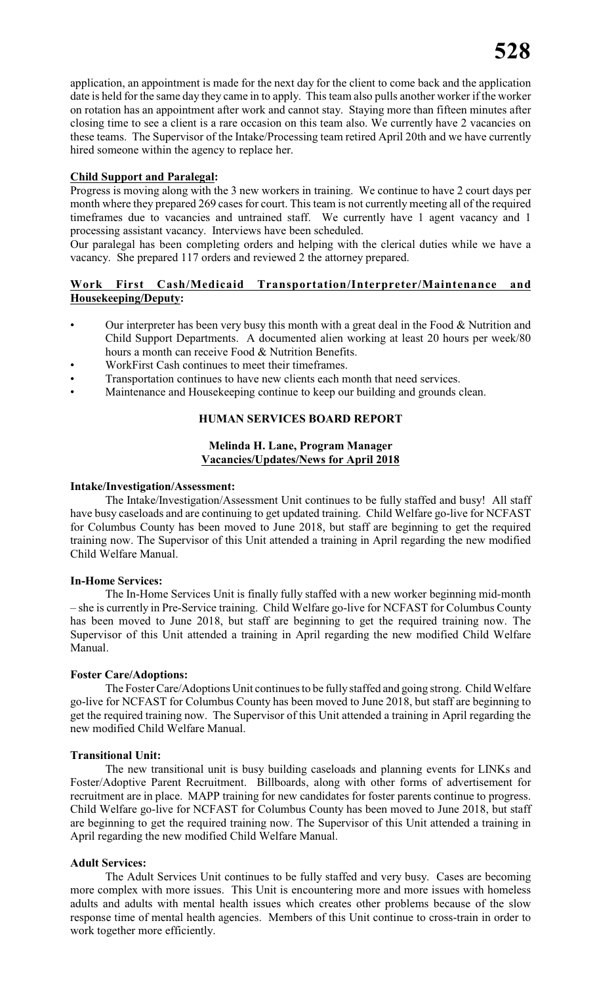application, an appointment is made for the next day for the client to come back and the application date is held for the same day they came in to apply. This team also pulls another worker if the worker on rotation has an appointment after work and cannot stay. Staying more than fifteen minutes after closing time to see a client is a rare occasion on this team also. We currently have 2 vacancies on these teams. The Supervisor of the Intake/Processing team retired April 20th and we have currently hired someone within the agency to replace her.

# **Child Support and Paralegal:**

Progress is moving along with the 3 new workers in training. We continue to have 2 court days per month where they prepared 269 cases for court. This team is not currently meeting all of the required timeframes due to vacancies and untrained staff. We currently have 1 agent vacancy and 1 processing assistant vacancy. Interviews have been scheduled.

Our paralegal has been completing orders and helping with the clerical duties while we have a vacancy. She prepared 117 orders and reviewed 2 the attorney prepared.

# **Work First Cash/Medicaid Transportation/Interpreter/Maintenance and Housekeeping/Deputy:**

- Our interpreter has been very busy this month with a great deal in the Food  $&$  Nutrition and Child Support Departments. A documented alien working at least 20 hours per week/80 hours a month can receive Food & Nutrition Benefits.
- WorkFirst Cash continues to meet their timeframes.
- Transportation continues to have new clients each month that need services.
- Maintenance and Housekeeping continue to keep our building and grounds clean.

# **HUMAN SERVICES BOARD REPORT**

# **Melinda H. Lane, Program Manager Vacancies/Updates/News for April 2018**

#### **Intake/Investigation/Assessment:**

The Intake/Investigation/Assessment Unit continues to be fully staffed and busy! All staff have busy caseloads and are continuing to get updated training. Child Welfare go-live for NCFAST for Columbus County has been moved to June 2018, but staff are beginning to get the required training now. The Supervisor of this Unit attended a training in April regarding the new modified Child Welfare Manual.

# **In-Home Services:**

The In-Home Services Unit is finally fully staffed with a new worker beginning mid-month – she is currently in Pre-Service training. Child Welfare go-live for NCFAST for Columbus County has been moved to June 2018, but staff are beginning to get the required training now. The Supervisor of this Unit attended a training in April regarding the new modified Child Welfare Manual.

# **Foster Care/Adoptions:**

The Foster Care/Adoptions Unit continues to be fully staffed and going strong. Child Welfare go-live for NCFAST for Columbus County has been moved to June 2018, but staff are beginning to get the required training now. The Supervisor of this Unit attended a training in April regarding the new modified Child Welfare Manual.

# **Transitional Unit:**

The new transitional unit is busy building caseloads and planning events for LINKs and Foster/Adoptive Parent Recruitment. Billboards, along with other forms of advertisement for recruitment are in place. MAPP training for new candidates for foster parents continue to progress. Child Welfare go-live for NCFAST for Columbus County has been moved to June 2018, but staff are beginning to get the required training now. The Supervisor of this Unit attended a training in April regarding the new modified Child Welfare Manual.

# **Adult Services:**

The Adult Services Unit continues to be fully staffed and very busy. Cases are becoming more complex with more issues. This Unit is encountering more and more issues with homeless adults and adults with mental health issues which creates other problems because of the slow response time of mental health agencies. Members of this Unit continue to cross-train in order to work together more efficiently.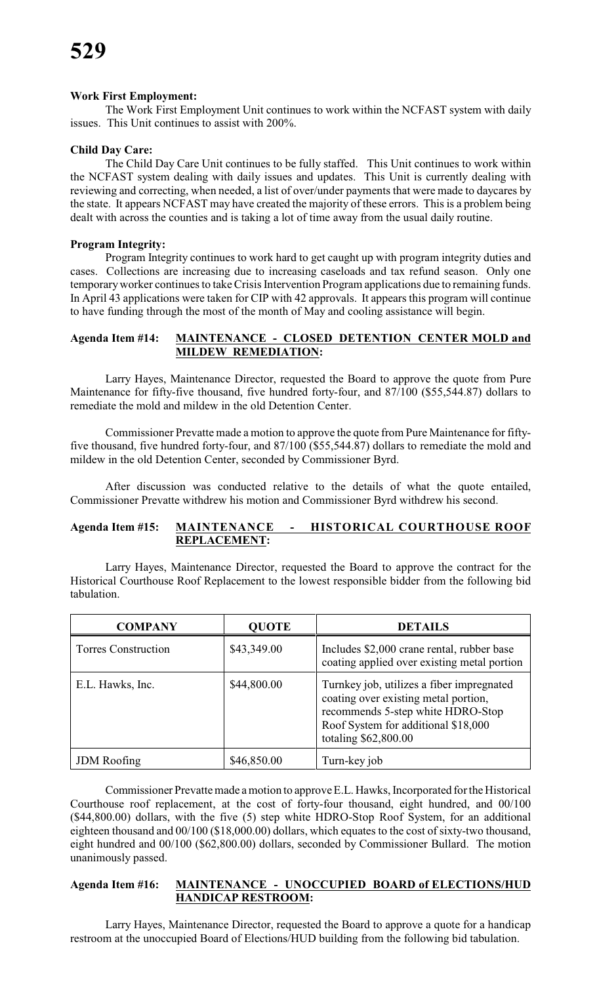# **Work First Employment:**

The Work First Employment Unit continues to work within the NCFAST system with daily issues. This Unit continues to assist with 200%.

# **Child Day Care:**

The Child Day Care Unit continues to be fully staffed. This Unit continues to work within the NCFAST system dealing with daily issues and updates. This Unit is currently dealing with reviewing and correcting, when needed, a list of over/under payments that were made to daycares by the state. It appears NCFAST may have created the majority of these errors. This is a problem being dealt with across the counties and is taking a lot of time away from the usual daily routine.

# **Program Integrity:**

Program Integrity continues to work hard to get caught up with program integrity duties and cases. Collections are increasing due to increasing caseloads and tax refund season. Only one temporary worker continues to take Crisis Intervention Program applications due to remaining funds. In April 43 applications were taken for CIP with 42 approvals. It appears this program will continue to have funding through the most of the month of May and cooling assistance will begin.

# **Agenda Item #14: MAINTENANCE - CLOSED DETENTION CENTER MOLD and MILDEW REMEDIATION:**

Larry Hayes, Maintenance Director, requested the Board to approve the quote from Pure Maintenance for fifty-five thousand, five hundred forty-four, and 87/100 (\$55,544.87) dollars to remediate the mold and mildew in the old Detention Center.

Commissioner Prevatte made a motion to approve the quote from Pure Maintenance for fiftyfive thousand, five hundred forty-four, and 87/100 (\$55,544.87) dollars to remediate the mold and mildew in the old Detention Center, seconded by Commissioner Byrd.

After discussion was conducted relative to the details of what the quote entailed, Commissioner Prevatte withdrew his motion and Commissioner Byrd withdrew his second.

# **Agenda Item #15: MAINTENANCE - HISTORICAL COURTHOUSE ROOF REPLACEMENT:**

Larry Hayes, Maintenance Director, requested the Board to approve the contract for the Historical Courthouse Roof Replacement to the lowest responsible bidder from the following bid tabulation.

| <b>COMPANY</b>             | <b>QUOTE</b> | <b>DETAILS</b>                                                                                                                                                                        |
|----------------------------|--------------|---------------------------------------------------------------------------------------------------------------------------------------------------------------------------------------|
| <b>Torres Construction</b> | \$43,349.00  | Includes \$2,000 crane rental, rubber base<br>coating applied over existing metal portion                                                                                             |
| E.L. Hawks, Inc.           | \$44,800.00  | Turnkey job, utilizes a fiber impregnated<br>coating over existing metal portion,<br>recommends 5-step white HDRO-Stop<br>Roof System for additional \$18,000<br>totaling \$62,800.00 |
| <b>JDM</b> Roofing         | \$46,850.00  | Turn-key job                                                                                                                                                                          |

Commissioner Prevatte made a motion to approve E.L. Hawks, Incorporated for the Historical Courthouse roof replacement, at the cost of forty-four thousand, eight hundred, and 00/100 (\$44,800.00) dollars, with the five (5) step white HDRO-Stop Roof System, for an additional eighteen thousand and 00/100 (\$18,000.00) dollars, which equates to the cost of sixty-two thousand, eight hundred and 00/100 (\$62,800.00) dollars, seconded by Commissioner Bullard. The motion unanimously passed.

# **Agenda Item #16: MAINTENANCE - UNOCCUPIED BOARD of ELECTIONS/HUD HANDICAP RESTROOM:**

Larry Hayes, Maintenance Director, requested the Board to approve a quote for a handicap restroom at the unoccupied Board of Elections/HUD building from the following bid tabulation.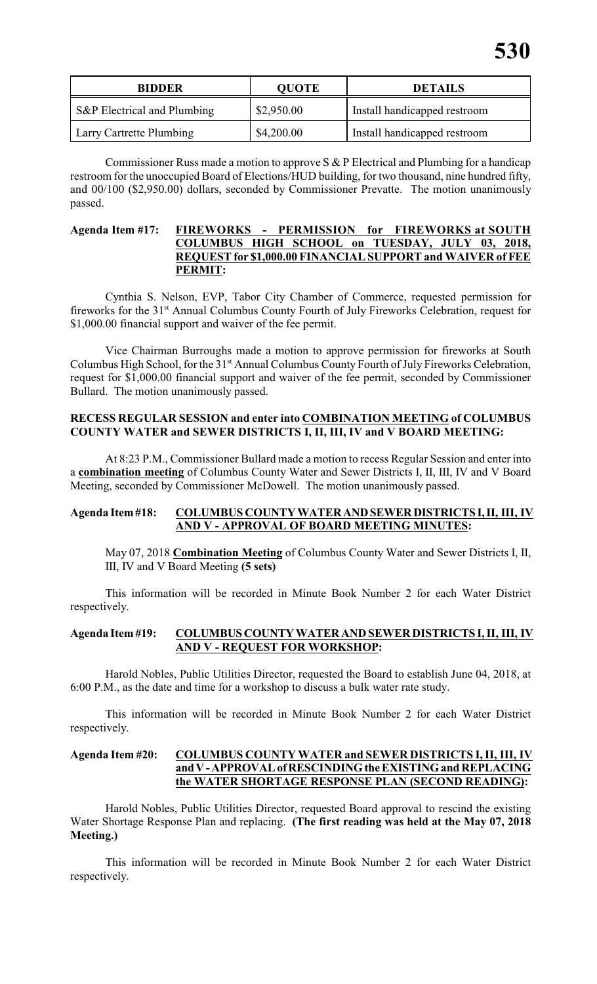| <b>BIDDER</b>               | <b>QUOTE</b> | <b>DETAILS</b>               |  |  |
|-----------------------------|--------------|------------------------------|--|--|
| S&P Electrical and Plumbing | \$2,950.00   | Install handicapped restroom |  |  |
| Larry Cartrette Plumbing    | \$4,200.00   | Install handicapped restroom |  |  |

Commissioner Russ made a motion to approve S & P Electrical and Plumbing for a handicap restroom for the unoccupied Board of Elections/HUD building, for two thousand, nine hundred fifty, and 00/100 (\$2,950.00) dollars, seconded by Commissioner Prevatte. The motion unanimously passed.

# **Agenda Item #17: FIREWORKS - PERMISSION for FIREWORKS at SOUTH COLUMBUS HIGH SCHOOL on TUESDAY, JULY 03, 2018, REQUEST for \$1,000.00 FINANCIAL SUPPORT and WAIVER of FEE PERMIT:**

Cynthia S. Nelson, EVP, Tabor City Chamber of Commerce, requested permission for fireworks for the 31<sup>st</sup> Annual Columbus County Fourth of July Fireworks Celebration, request for \$1,000.00 financial support and waiver of the fee permit.

Vice Chairman Burroughs made a motion to approve permission for fireworks at South Columbus High School, for the 31<sup>st</sup> Annual Columbus County Fourth of July Fireworks Celebration, request for \$1,000.00 financial support and waiver of the fee permit, seconded by Commissioner Bullard. The motion unanimously passed.

# **RECESS REGULAR SESSION and enter into COMBINATION MEETING of COLUMBUS COUNTY WATER and SEWER DISTRICTS I, II, III, IV and V BOARD MEETING:**

At 8:23 P.M., Commissioner Bullard made a motion to recess Regular Session and enter into a **combination meeting** of Columbus County Water and Sewer Districts I, II, III, IV and V Board Meeting, seconded by Commissioner McDowell. The motion unanimously passed.

# **Agenda Item #18: COLUMBUS COUNTY WATER AND SEWER DISTRICTS I, II, III, IV AND V - APPROVAL OF BOARD MEETING MINUTES:**

May 07, 2018 **Combination Meeting** of Columbus County Water and Sewer Districts I, II, III, IV and V Board Meeting **(5 sets)**

This information will be recorded in Minute Book Number 2 for each Water District respectively.

# **Agenda Item #19: COLUMBUS COUNTY WATER AND SEWER DISTRICTS I, II, III, IV AND V - REQUEST FOR WORKSHOP:**

Harold Nobles, Public Utilities Director, requested the Board to establish June 04, 2018, at 6:00 P.M., as the date and time for a workshop to discuss a bulk water rate study.

This information will be recorded in Minute Book Number 2 for each Water District respectively.

# **Agenda Item #20: COLUMBUS COUNTY WATER and SEWER DISTRICTS I, II, III, IV and V - APPROVAL of RESCINDING the EXISTING and REPLACING the WATER SHORTAGE RESPONSE PLAN (SECOND READING):**

Harold Nobles, Public Utilities Director, requested Board approval to rescind the existing Water Shortage Response Plan and replacing. **(The first reading was held at the May 07, 2018 Meeting.)**

This information will be recorded in Minute Book Number 2 for each Water District respectively.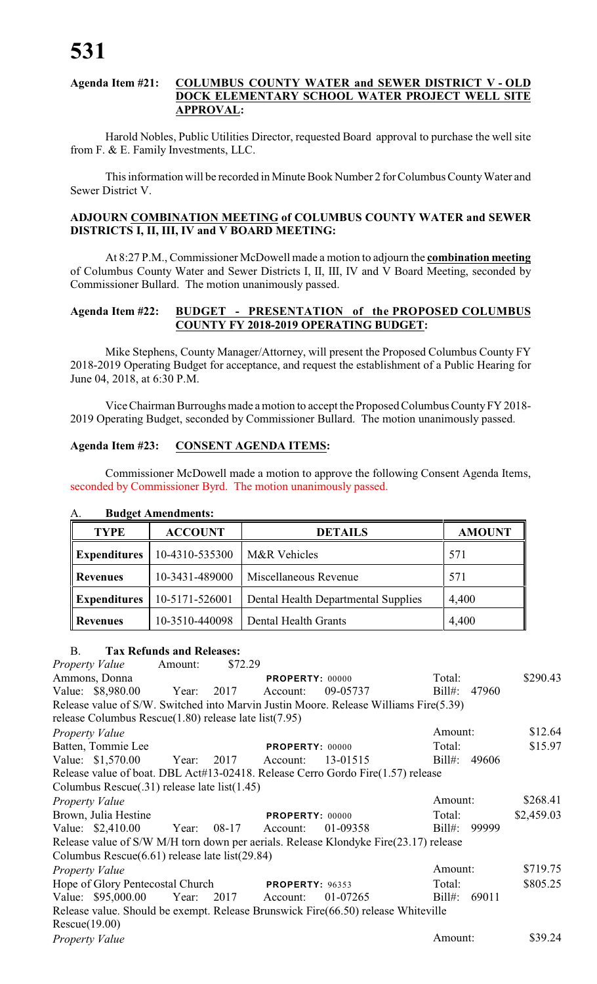#### **Agenda Item #21: COLUMBUS COUNTY WATER and SEWER DISTRICT V - OLD DOCK ELEMENTARY SCHOOL WATER PROJECT WELL SITE APPROVAL:**

Harold Nobles, Public Utilities Director, requested Board approval to purchase the well site from F. & E. Family Investments, LLC.

This information will be recorded in Minute Book Number 2 for Columbus County Water and Sewer District V.

# **ADJOURN COMBINATION MEETING of COLUMBUS COUNTY WATER and SEWER DISTRICTS I, II, III, IV and V BOARD MEETING:**

At 8:27 P.M., Commissioner McDowell made a motion to adjourn the **combination meeting** of Columbus County Water and Sewer Districts I, II, III, IV and V Board Meeting, seconded by Commissioner Bullard. The motion unanimously passed.

# **Agenda Item #22: BUDGET - PRESENTATION of the PROPOSED COLUMBUS COUNTY FY 2018-2019 OPERATING BUDGET:**

Mike Stephens, County Manager/Attorney, will present the Proposed Columbus County FY 2018-2019 Operating Budget for acceptance, and request the establishment of a Public Hearing for June 04, 2018, at 6:30 P.M.

Vice Chairman Burroughs made amotion to accept the Proposed Columbus County FY 2018- 2019 Operating Budget, seconded by Commissioner Bullard. The motion unanimously passed.

# **Agenda Item #23: CONSENT AGENDA ITEMS:**

Commissioner McDowell made a motion to approve the following Consent Agenda Items, seconded by Commissioner Byrd. The motion unanimously passed.

| <b>TYPE</b>         | <b>ACCOUNT</b> | <b>DETAILS</b>                      | <b>AMOUNT</b> |
|---------------------|----------------|-------------------------------------|---------------|
| <b>Expenditures</b> | 10-4310-535300 | M&R Vehicles                        | 571           |
| <b>Revenues</b>     | 10-3431-489000 | Miscellaneous Revenue               | 571           |
| <b>Expenditures</b> | 10-5171-526001 | Dental Health Departmental Supplies | 4,400         |
| <b>Revenues</b>     | 10-3510-440098 | Dental Health Grants                | 4,400         |

# A. **Budget Amendments:**

# B. **Tax Refunds and Releases:**

*Property Value* Amount: \$72.29 Ammons, Donna **PROPERTY:** 00000 Total: \$290.43 Value: \$8,980.00 Year: 2017 Account: 09-05737 Bill#: 47960 Release value of S/W. Switched into Marvin Justin Moore. Release Williams Fire(5.39) release Columbus Rescue(1.80) release late list(7.95) *Property Value* \$12.64 Batten, Tommie Lee **PROPERTY:** 00000 Total: \$15.97 Value: \$1,570.00 Year: 2017 Account: 13-01515 Bill#: 49606 Release value of boat. DBL Act#13-02418. Release Cerro Gordo Fire(1.57) release Columbus Rescue(.31) release late list(1.45) *Property Value* \$268.41 Brown, Julia Hestine **PROPERTY:** 00000 Total: \$2,459.03 Value: \$2,410.00 Year: 08-17 Account: 01-09358 Bill#: 99999 Release value of S/W M/H torn down per aerials. Release Klondyke Fire(23.17) release Columbus Rescue(6.61) release late list(29.84) *Property Value* \$719.75 Hope of Glory Pentecostal Church **PROPERTY**: 96353 Total: \$805.25 Value: \$95,000.00 Year: 2017 Account: 01-07265 Bill#: 69011 Release value. Should be exempt. Release Brunswick Fire(66.50) release Whiteville Rescue(19.00) *Property Value* \$39.24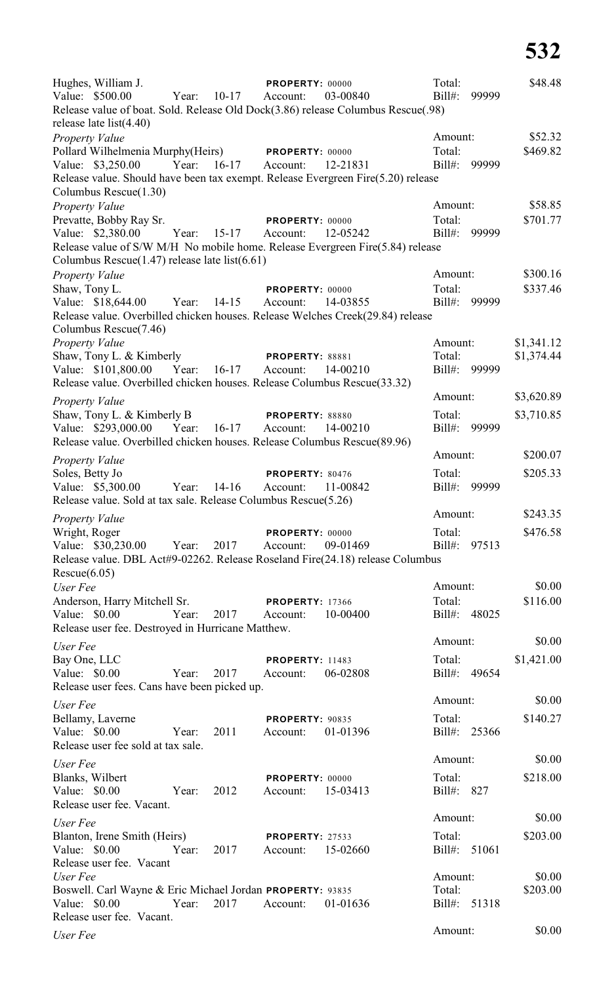| Hughes, William J.<br>Value: \$500.00<br>Release value of boat. Sold. Release Old Dock(3.86) release Columbus Rescue(.98)<br>release late $list(4.40)$ | Year: | $10-17$              | PROPERTY: 00000<br>Account: | 03-00840 | Total:<br>$Bill#$ :         | 99999 | \$48.48             |
|--------------------------------------------------------------------------------------------------------------------------------------------------------|-------|----------------------|-----------------------------|----------|-----------------------------|-------|---------------------|
| <b>Property Value</b><br>Pollard Wilhelmenia Murphy(Heirs)<br>Value: \$3,250.00                                                                        |       | Year: 16-17 Account: | PROPERTY: 00000             | 12-21831 | Amount:<br>Total:<br>Bill#: | 99999 | \$52.32<br>\$469.82 |
| Release value. Should have been tax exempt. Release Evergreen Fire(5.20) release<br>Columbus Rescue(1.30)                                              |       |                      |                             |          |                             |       |                     |
| Property Value                                                                                                                                         |       |                      |                             |          | Amount:                     |       | \$58.85             |
| Prevatte, Bobby Ray Sr.<br>Value: \$2,380.00                                                                                                           | Year: | $15-17$              | PROPERTY: 00000<br>Account: | 12-05242 | Total:<br>Bill#:            | 99999 | \$701.77            |
| Release value of S/W M/H No mobile home. Release Evergreen Fire(5.84) release<br>Columbus Rescue(1.47) release late list(6.61)                         |       |                      |                             |          |                             |       |                     |
| Property Value                                                                                                                                         |       |                      |                             |          | Amount:                     |       | \$300.16            |
| Shaw, Tony L.                                                                                                                                          |       |                      | <b>PROPERTY: 00000</b>      |          | Total:                      |       | \$337.46            |
| Value: \$18,644.00<br>Release value. Overbilled chicken houses. Release Welches Creek(29.84) release<br>Columbus Rescue(7.46)                          | Year: | $14 - 15$            | Account:                    | 14-03855 | Bill#:                      | 99999 |                     |
| Property Value                                                                                                                                         |       |                      |                             |          | Amount:                     |       | \$1,341.12          |
| Shaw, Tony L. & Kimberly                                                                                                                               |       |                      | <b>PROPERTY: 88881</b>      |          | Total:                      |       | \$1,374.44          |
| Value: \$101,800.00<br>Release value. Overbilled chicken houses. Release Columbus Rescue(33.32)                                                        | Year: | $16-17$              | Account:                    | 14-00210 | Bill#: 99999                |       |                     |
|                                                                                                                                                        |       |                      |                             |          | Amount:                     |       | \$3,620.89          |
| Property Value<br>Shaw, Tony L. & Kimberly B                                                                                                           |       |                      | <b>PROPERTY: 88880</b>      |          | Total:                      |       | \$3,710.85          |
| Value: \$293,000.00                                                                                                                                    | Year: | $16-17$              | Account:                    | 14-00210 | Bill#: 99999                |       |                     |
| Release value. Overbilled chicken houses. Release Columbus Rescue(89.96)                                                                               |       |                      |                             |          |                             |       |                     |
| <b>Property Value</b>                                                                                                                                  |       |                      |                             |          | Amount:                     |       | \$200.07            |
| Soles, Betty Jo                                                                                                                                        |       |                      | PROPERTY: 80476             |          | Total:                      |       | \$205.33            |
| Value: \$5,300.00<br>Release value. Sold at tax sale. Release Columbus Rescue(5.26)                                                                    | Year: | $14-16$              | Account:                    | 11-00842 | $Bill#$ :                   | 99999 |                     |
| <b>Property Value</b>                                                                                                                                  |       |                      |                             |          | Amount:                     |       | \$243.35            |
| Wright, Roger<br>Value: \$30,230.00 Year:<br>Release value. DBL Act#9-02262. Release Roseland Fire(24.18) release Columbus                             |       | 2017                 | PROPERTY: 00000<br>Account: | 09-01469 | Total:<br>Bill#: 97513      |       | \$476.58            |
| Rescue(6.05)<br>User Fee                                                                                                                               |       |                      |                             |          | Amount:                     |       | \$0.00              |
| Anderson, Harry Mitchell Sr.                                                                                                                           |       |                      | <b>PROPERTY: 17366</b>      |          | Total:                      |       | \$116.00            |
| Value: \$0.00<br>Release user fee. Destroyed in Hurricane Matthew.                                                                                     | Year: | 2017                 | Account:                    | 10-00400 | Bill#: 48025                |       |                     |
| User Fee                                                                                                                                               |       |                      |                             |          | Amount:                     |       | \$0.00              |
| Bay One, LLC                                                                                                                                           |       |                      | <b>PROPERTY: 11483</b>      |          | Total:                      |       | \$1,421.00          |
| Value: \$0.00<br>Release user fees. Cans have been picked up.                                                                                          | Year: | 2017                 | Account:                    | 06-02808 | Bill#: 49654                |       |                     |
| User Fee                                                                                                                                               |       |                      |                             |          | Amount:                     |       | \$0.00              |
| Bellamy, Laverne<br>Value: $$0.00$<br>Release user fee sold at tax sale.                                                                               | Year: | 2011                 | PROPERTY: 90835<br>Account: | 01-01396 | Total:<br>Bill#: 25366      |       | \$140.27            |
| User Fee                                                                                                                                               |       |                      |                             |          | Amount:                     |       | \$0.00              |
| Blanks, Wilbert<br>Value: \$0.00<br>Release user fee. Vacant.                                                                                          | Year: | 2012                 | PROPERTY: 00000<br>Account: | 15-03413 | Total:<br>Bill#: 827        |       | \$218.00            |
| User Fee                                                                                                                                               |       |                      |                             |          | Amount:                     |       | \$0.00              |
| Blanton, Irene Smith (Heirs)<br>Value: \$0.00                                                                                                          | Year: | 2017                 | PROPERTY: 27533<br>Account: | 15-02660 | Total:<br>Bill#:            | 51061 | \$203.00            |
| Release user fee. Vacant<br>User Fee                                                                                                                   |       |                      |                             |          | Amount:                     |       | \$0.00              |
| Boswell. Carl Wayne & Eric Michael Jordan PROPERTY: 93835                                                                                              |       |                      |                             |          | Total:                      |       | \$203.00            |
| Value: \$0.00<br>Release user fee. Vacant.                                                                                                             | Year: | 2017                 | Account:                    | 01-01636 | Bill#: 51318                |       |                     |
| User Fee                                                                                                                                               |       |                      |                             |          | Amount:                     |       | \$0.00              |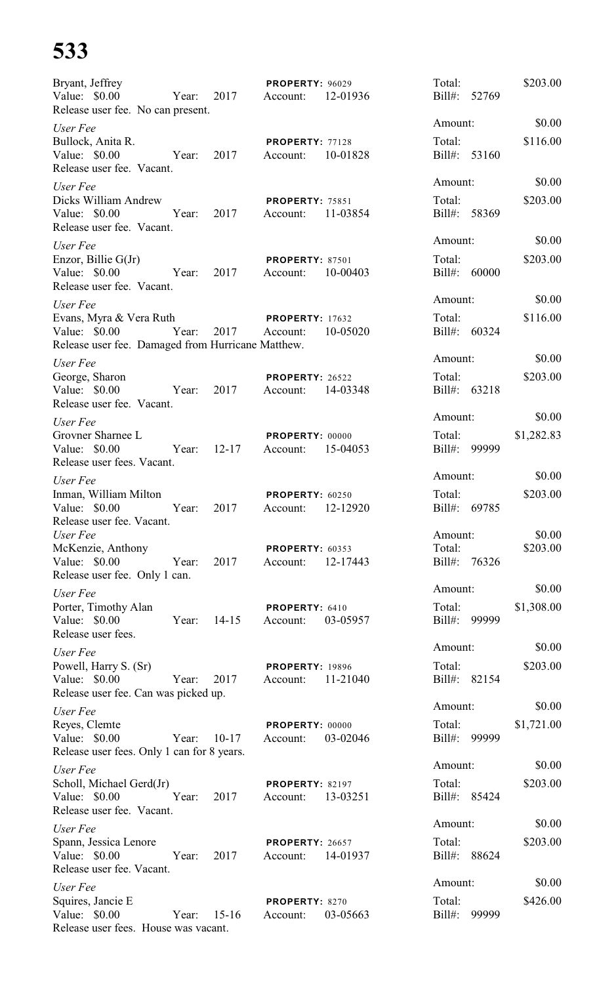# **533**

| Bryant, Jeffrey<br>Value: \$0.00<br>Release user fee. No can present.                         | Year: | 2017      | PROPERTY: 96029<br>Account:        | 12-01936 | Total:<br>Bill#: 52769            |       | \$203.00           |
|-----------------------------------------------------------------------------------------------|-------|-----------|------------------------------------|----------|-----------------------------------|-------|--------------------|
| User Fee                                                                                      |       |           |                                    |          | Amount:                           |       | \$0.00             |
| Bullock, Anita R.<br>Value: $$0.00$<br>Release user fee. Vacant.                              | Year: | 2017      | PROPERTY: 77128<br>Account:        | 10-01828 | Total:<br>Bill#: 53160            |       | \$116.00           |
| User Fee<br>Dicks William Andrew<br>Value: \$0.00                                             | Year: | 2017      | <b>PROPERTY: 75851</b><br>Account: | 11-03854 | Amount:<br>Total:<br>Bill#: 58369 |       | \$0.00<br>\$203.00 |
| Release user fee. Vacant.                                                                     |       |           |                                    |          | Amount:                           |       | \$0.00             |
| User Fee<br>Enzor, Billie G(Jr)<br>Value: \$0.00<br>Release user fee. Vacant.                 | Year: | 2017      | PROPERTY: 87501<br>Account:        | 10-00403 | Total:<br>Bill#: 60000            |       | \$203.00           |
| User Fee                                                                                      |       |           |                                    |          | Amount:                           |       | \$0.00             |
| Evans, Myra & Vera Ruth<br>Value: \$0.00<br>Release user fee. Damaged from Hurricane Matthew. | Year: | 2017      | <b>PROPERTY: 17632</b><br>Account: | 10-05020 | Total:<br>Bill#: 60324            |       | \$116.00           |
| User Fee                                                                                      |       |           |                                    |          | Amount:                           |       | \$0.00             |
| George, Sharon<br>Value: \$0.00<br>Release user fee. Vacant.                                  | Year: | 2017      | PROPERTY: 26522<br>Account:        | 14-03348 | Total:<br>$Bill#$ :               | 63218 | \$203.00           |
| User Fee                                                                                      |       |           |                                    |          | Amount:                           |       | \$0.00             |
| Grovner Sharnee L<br>Value: \$0.00<br>Release user fees. Vacant.                              | Year: | $12 - 17$ | PROPERTY: 00000<br>Account:        | 15-04053 | Total:<br>$Bill#$ :               | 99999 | \$1,282.83         |
| User Fee                                                                                      |       |           |                                    |          | Amount:                           |       | \$0.00             |
| Inman, William Milton<br>Value: $$0.00$<br>Release user fee. Vacant.                          | Year: | 2017      | PROPERTY: 60250<br>Account:        | 12-12920 | Total:<br>Bill#: 69785            |       | \$203.00           |
| User Fee                                                                                      |       |           |                                    |          | Amount:                           |       | \$0.00             |
| McKenzie, Anthony<br>Value: \$0.00<br>Release user fee. Only 1 can.                           | Year: | 2017      | PROPERTY: 60353<br>Account:        | 12-17443 | Total:<br>Bill#: 76326            |       | \$203.00           |
| User Fee                                                                                      |       |           |                                    |          | Amount:                           |       | \$0.00             |
| Porter, Timothy Alan<br>Value: $$0.00$<br>Release user fees.                                  | Year: | $14 - 15$ | PROPERTY: 6410<br>Account:         | 03-05957 | Total:<br>Bill#: 99999            |       | \$1,308.00         |
| User Fee                                                                                      |       |           |                                    |          | Amount:                           |       | \$0.00             |
| Powell, Harry S. (Sr)<br>Value: $$0.00$<br>Release user fee. Can was picked up.               | Year: | 2017      | <b>PROPERTY: 19896</b><br>Account: | 11-21040 | Total:<br>Bill#: 82154            |       | \$203.00           |
| User Fee                                                                                      |       |           |                                    |          | Amount:                           |       | \$0.00             |
| Reyes, Clemte<br>Value: \$0.00<br>Release user fees. Only 1 can for 8 years.                  | Year: | $10-17$   | PROPERTY: 00000<br>Account:        | 03-02046 | Total:<br>Bill#: 99999            |       | \$1,721.00         |
| User Fee                                                                                      |       |           |                                    |          | Amount:                           |       | \$0.00             |
| Scholl, Michael Gerd(Jr)<br>Value: \$0.00<br>Release user fee. Vacant.                        | Year: | 2017      | PROPERTY: 82197<br>Account:        | 13-03251 | Total:<br>Bill#: 85424            |       | \$203.00           |
| User Fee                                                                                      |       |           |                                    |          | Amount:                           |       | \$0.00             |
| Spann, Jessica Lenore<br>Value: \$0.00<br>Release user fee. Vacant.                           | Year: | 2017      | <b>PROPERTY: 26657</b><br>Account: | 14-01937 | Total:<br>Bill#: 88624            |       | \$203.00           |
| User Fee                                                                                      |       |           |                                    |          | Amount:                           |       | \$0.00             |
| Squires, Jancie E<br>Value: \$0.00<br>Release user fees. House was vacant.                    | Year: | $15-16$   | PROPERTY: 8270<br>Account:         | 03-05663 | Total:<br>$Bill#$ :               | 99999 | \$426.00           |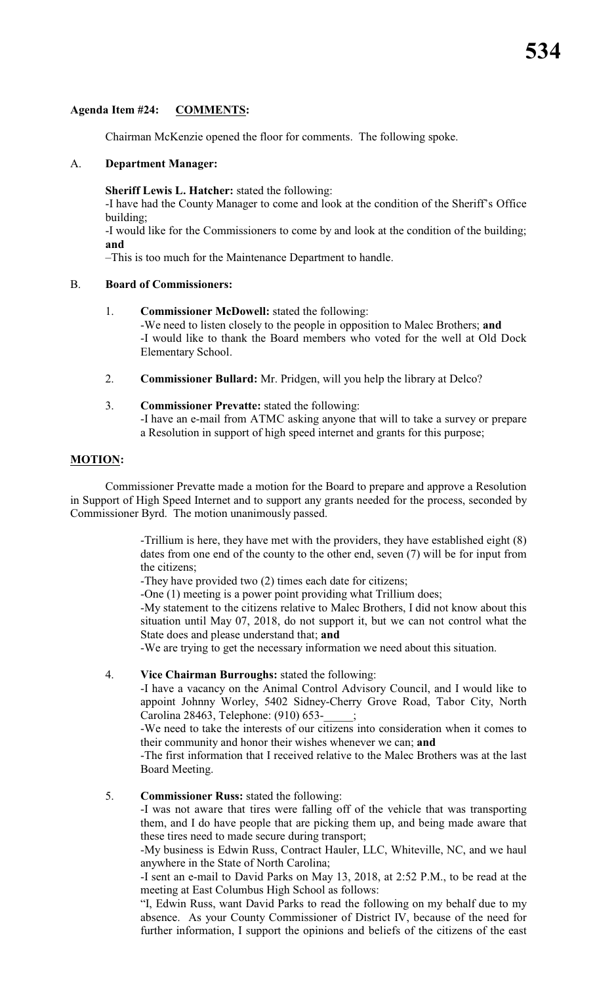# **Agenda Item #24: COMMENTS:**

Chairman McKenzie opened the floor for comments. The following spoke.

# A. **Department Manager:**

**Sheriff Lewis L. Hatcher:** stated the following:

-I have had the County Manager to come and look at the condition of the Sheriff's Office building;

-I would like for the Commissioners to come by and look at the condition of the building; **and**

–This is too much for the Maintenance Department to handle.

# B. **Board of Commissioners:**

1. **Commissioner McDowell:** stated the following:

-We need to listen closely to the people in opposition to Malec Brothers; **and** -I would like to thank the Board members who voted for the well at Old Dock Elementary School.

- 2. **Commissioner Bullard:** Mr. Pridgen, will you help the library at Delco?
- 3. **Commissioner Prevatte:** stated the following: -I have an e-mail from ATMC asking anyone that will to take a survey or prepare a Resolution in support of high speed internet and grants for this purpose;

# **MOTION:**

Commissioner Prevatte made a motion for the Board to prepare and approve a Resolution in Support of High Speed Internet and to support any grants needed for the process, seconded by Commissioner Byrd. The motion unanimously passed.

> -Trillium is here, they have met with the providers, they have established eight (8) dates from one end of the county to the other end, seven (7) will be for input from the citizens;

-They have provided two (2) times each date for citizens;

-One (1) meeting is a power point providing what Trillium does;

-My statement to the citizens relative to Malec Brothers, I did not know about this situation until May 07, 2018, do not support it, but we can not control what the State does and please understand that; **and**

-We are trying to get the necessary information we need about this situation.

# 4. **Vice Chairman Burroughs:** stated the following:

-I have a vacancy on the Animal Control Advisory Council, and I would like to appoint Johnny Worley, 5402 Sidney-Cherry Grove Road, Tabor City, North Carolina 28463, Telephone: (910) 653-\_\_\_\_\_;

-We need to take the interests of our citizens into consideration when it comes to their community and honor their wishes whenever we can; **and**

-The first information that I received relative to the Malec Brothers was at the last Board Meeting.

# 5. **Commissioner Russ:** stated the following:

-I was not aware that tires were falling off of the vehicle that was transporting them, and I do have people that are picking them up, and being made aware that these tires need to made secure during transport;

-My business is Edwin Russ, Contract Hauler, LLC, Whiteville, NC, and we haul anywhere in the State of North Carolina;

-I sent an e-mail to David Parks on May 13, 2018, at 2:52 P.M., to be read at the meeting at East Columbus High School as follows:

"I, Edwin Russ, want David Parks to read the following on my behalf due to my absence. As your County Commissioner of District IV, because of the need for further information, I support the opinions and beliefs of the citizens of the east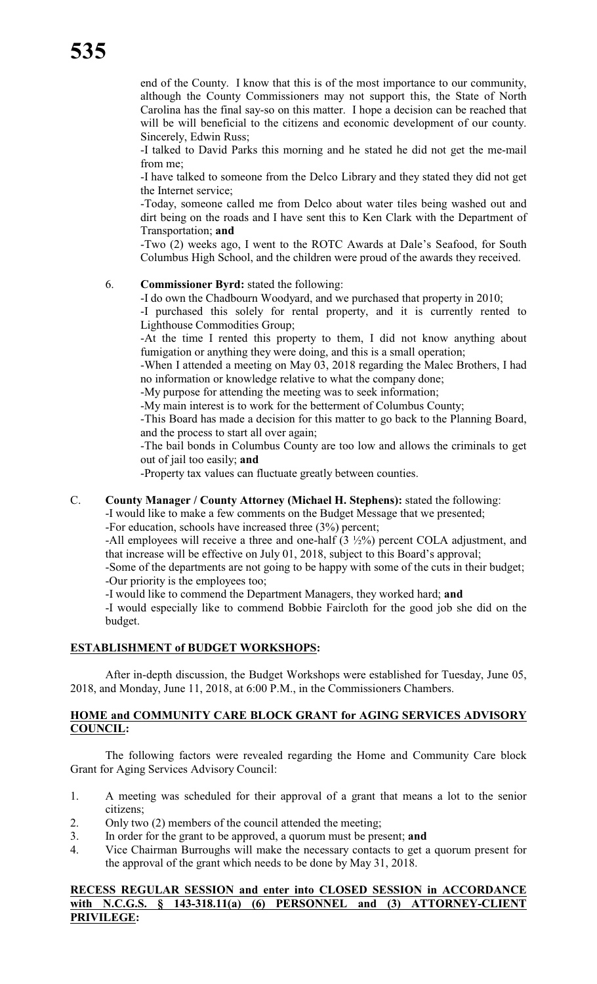end of the County. I know that this is of the most importance to our community, although the County Commissioners may not support this, the State of North Carolina has the final say-so on this matter. I hope a decision can be reached that will be will beneficial to the citizens and economic development of our county. Sincerely, Edwin Russ;

-I talked to David Parks this morning and he stated he did not get the me-mail from me;

-I have talked to someone from the Delco Library and they stated they did not get the Internet service;

-Today, someone called me from Delco about water tiles being washed out and dirt being on the roads and I have sent this to Ken Clark with the Department of Transportation; **and**

-Two (2) weeks ago, I went to the ROTC Awards at Dale's Seafood, for South Columbus High School, and the children were proud of the awards they received.

# 6. **Commissioner Byrd:** stated the following:

-I do own the Chadbourn Woodyard, and we purchased that property in 2010;

-I purchased this solely for rental property, and it is currently rented to Lighthouse Commodities Group;

-At the time I rented this property to them, I did not know anything about fumigation or anything they were doing, and this is a small operation;

-When I attended a meeting on May 03, 2018 regarding the Malec Brothers, I had no information or knowledge relative to what the company done;

-My purpose for attending the meeting was to seek information;

-My main interest is to work for the betterment of Columbus County;

-This Board has made a decision for this matter to go back to the Planning Board, and the process to start all over again;

-The bail bonds in Columbus County are too low and allows the criminals to get out of jail too easily; **and**

-Property tax values can fluctuate greatly between counties.

# C. **County Manager / County Attorney (Michael H. Stephens):** stated the following:

-I would like to make a few comments on the Budget Message that we presented;

-For education, schools have increased three (3%) percent;

-All employees will receive a three and one-half (3 ½%) percent COLA adjustment, and that increase will be effective on July 01, 2018, subject to this Board's approval;

-Some of the departments are not going to be happy with some of the cuts in their budget; -Our priority is the employees too;

-I would like to commend the Department Managers, they worked hard; **and**

-I would especially like to commend Bobbie Faircloth for the good job she did on the budget.

# **ESTABLISHMENT of BUDGET WORKSHOPS:**

After in-depth discussion, the Budget Workshops were established for Tuesday, June 05, 2018, and Monday, June 11, 2018, at 6:00 P.M., in the Commissioners Chambers.

# **HOME and COMMUNITY CARE BLOCK GRANT for AGING SERVICES ADVISORY COUNCIL:**

The following factors were revealed regarding the Home and Community Care block Grant for Aging Services Advisory Council:

- 1. A meeting was scheduled for their approval of a grant that means a lot to the senior citizens;
- 2. Only two (2) members of the council attended the meeting;
- 3. In order for the grant to be approved, a quorum must be present; **and**
- 4. Vice Chairman Burroughs will make the necessary contacts to get a quorum present for the approval of the grant which needs to be done by May 31, 2018.

#### **RECESS REGULAR SESSION and enter into CLOSED SESSION in ACCORDANCE with N.C.G.S. § 143-318.11(a) (6) PERSONNEL and (3) ATTORNEY-CLIENT PRIVILEGE:**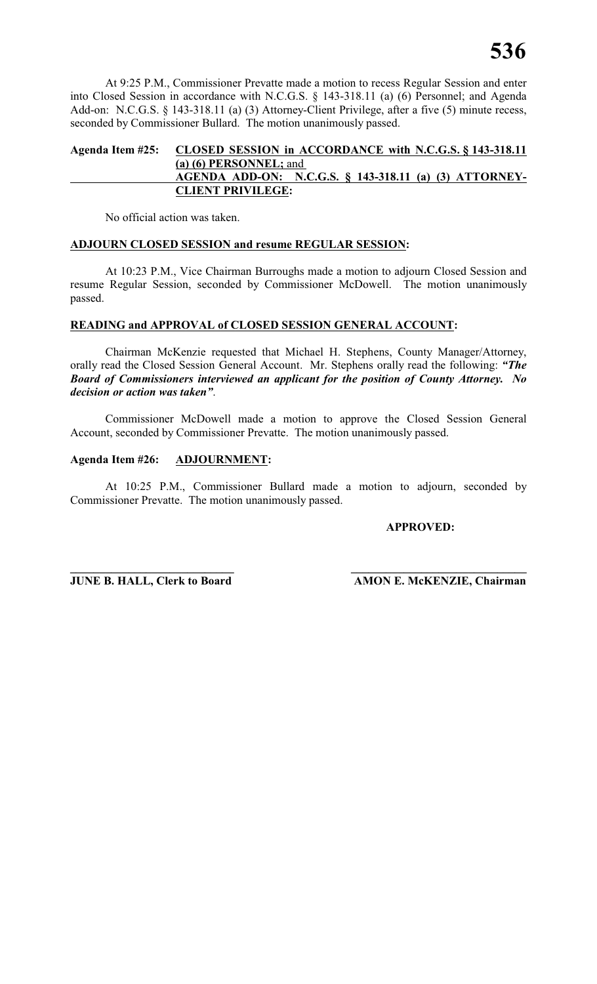At 9:25 P.M., Commissioner Prevatte made a motion to recess Regular Session and enter into Closed Session in accordance with N.C.G.S. § 143-318.11 (a) (6) Personnel; and Agenda Add-on: N.C.G.S. § 143-318.11 (a) (3) Attorney-Client Privilege, after a five (5) minute recess, seconded by Commissioner Bullard. The motion unanimously passed.

# **Agenda Item #25: CLOSED SESSION in ACCORDANCE with N.C.G.S. § 143-318.11 (a) (6) PERSONNEL;** and **AGENDA ADD-ON: N.C.G.S. § 143-318.11 (a) (3) ATTORNEY-CLIENT PRIVILEGE:**

No official action was taken.

# **ADJOURN CLOSED SESSION and resume REGULAR SESSION:**

At 10:23 P.M., Vice Chairman Burroughs made a motion to adjourn Closed Session and resume Regular Session, seconded by Commissioner McDowell. The motion unanimously passed.

# **READING and APPROVAL of CLOSED SESSION GENERAL ACCOUNT:**

Chairman McKenzie requested that Michael H. Stephens, County Manager/Attorney, orally read the Closed Session General Account. Mr. Stephens orally read the following: *"The Board of Commissioners interviewed an applicant for the position of County Attorney. No decision or action was taken"*.

Commissioner McDowell made a motion to approve the Closed Session General Account, seconded by Commissioner Prevatte. The motion unanimously passed.

# **Agenda Item #26: ADJOURNMENT:**

At 10:25 P.M., Commissioner Bullard made a motion to adjourn, seconded by Commissioner Prevatte. The motion unanimously passed.

**\_\_\_\_\_\_\_\_\_\_\_\_\_\_\_\_\_\_\_\_\_\_\_\_\_\_\_\_ \_\_\_\_\_\_\_\_\_\_\_\_\_\_\_\_\_\_\_\_\_\_\_\_\_\_\_\_\_\_**

**APPROVED:**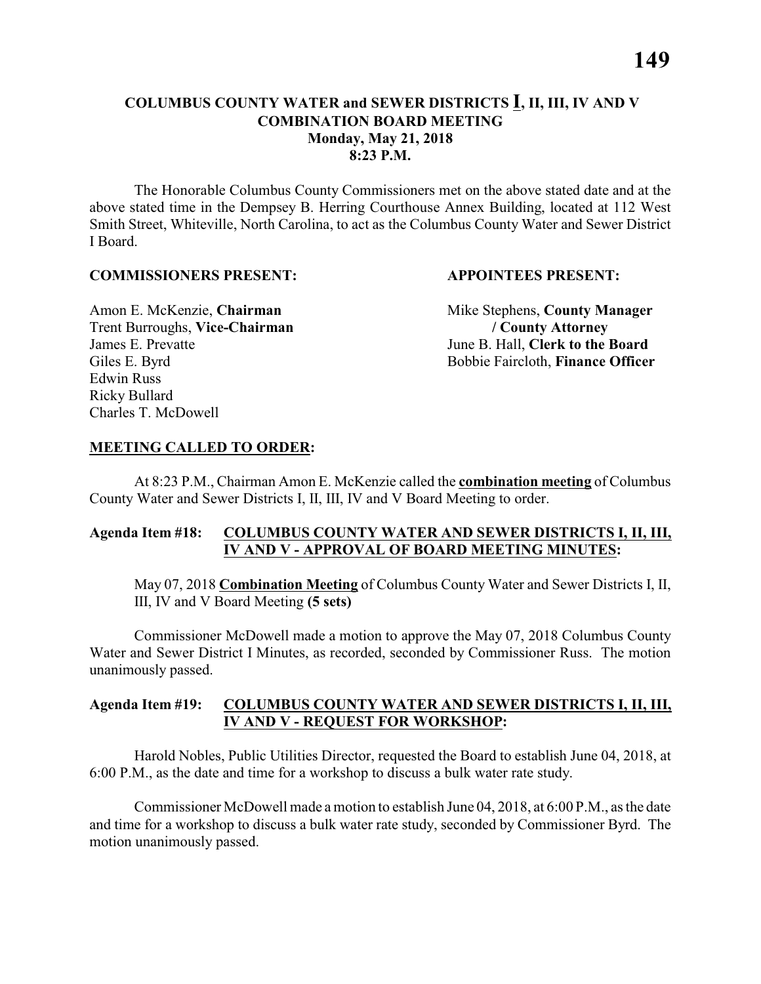# **COLUMBUS COUNTY WATER and SEWER DISTRICTS I, II, III, IV AND V COMBINATION BOARD MEETING Monday, May 21, 2018 8:23 P.M.**

The Honorable Columbus County Commissioners met on the above stated date and at the above stated time in the Dempsey B. Herring Courthouse Annex Building, located at 112 West Smith Street, Whiteville, North Carolina, to act as the Columbus County Water and Sewer District I Board.

#### **COMMISSIONERS PRESENT: APPOINTEES PRESENT:**

Trent Burroughs, **Vice-Chairman / County Attorney** James E. Prevatte June B. Hall, **Clerk to the Board** Edwin Russ Ricky Bullard Charles T. McDowell

Amon E. McKenzie, **Chairman** Mike Stephens, **County Manager** Giles E. Byrd Bobbie Faircloth, **Finance Officer** 

#### **MEETING CALLED TO ORDER:**

At 8:23 P.M., Chairman Amon E. McKenzie called the **combination meeting** of Columbus County Water and Sewer Districts I, II, III, IV and V Board Meeting to order.

# **Agenda Item #18: COLUMBUS COUNTY WATER AND SEWER DISTRICTS I, II, III, IV AND V - APPROVAL OF BOARD MEETING MINUTES:**

May 07, 2018 **Combination Meeting** of Columbus County Water and Sewer Districts I, II, III, IV and V Board Meeting **(5 sets)**

Commissioner McDowell made a motion to approve the May 07, 2018 Columbus County Water and Sewer District I Minutes, as recorded, seconded by Commissioner Russ. The motion unanimously passed.

# **Agenda Item #19: COLUMBUS COUNTY WATER AND SEWER DISTRICTS I, II, III, IV AND V - REQUEST FOR WORKSHOP:**

Harold Nobles, Public Utilities Director, requested the Board to establish June 04, 2018, at 6:00 P.M., as the date and time for a workshop to discuss a bulk water rate study.

Commissioner McDowell made a motion to establish June 04, 2018, at 6:00 P.M., as the date and time for a workshop to discuss a bulk water rate study, seconded by Commissioner Byrd. The motion unanimously passed.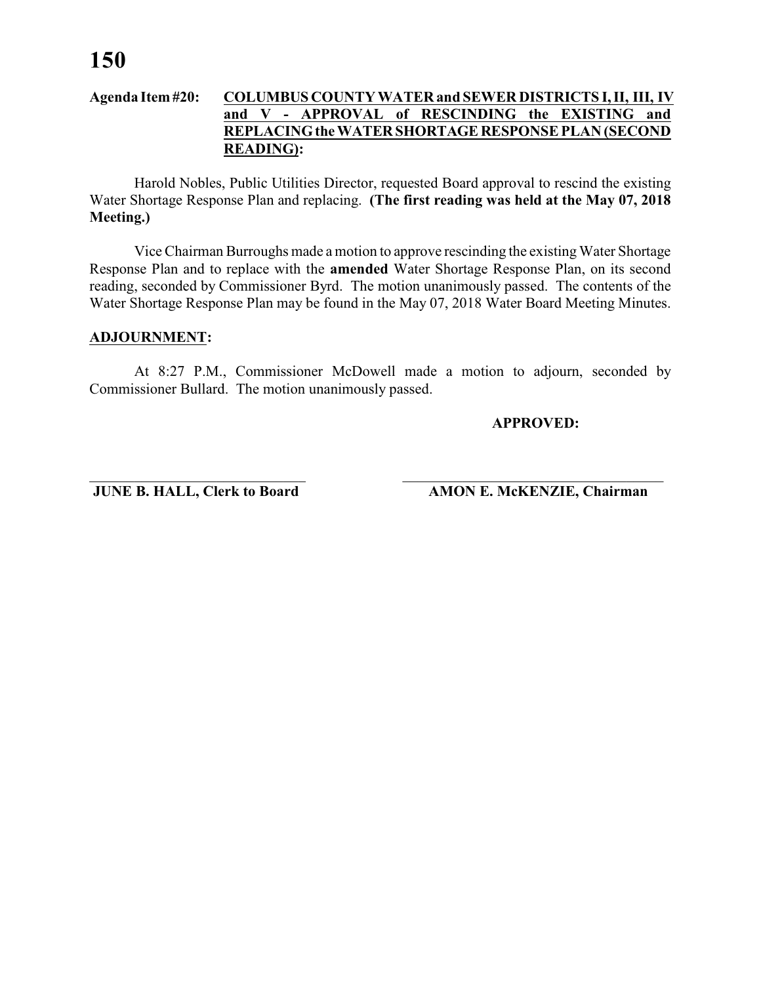#### **Agenda Item #20: COLUMBUS COUNTY WATER and SEWER DISTRICTS I, II, III, IV and V - APPROVAL of RESCINDING the EXISTING and REPLACING the WATER SHORTAGE RESPONSE PLAN (SECOND READING):**

Harold Nobles, Public Utilities Director, requested Board approval to rescind the existing Water Shortage Response Plan and replacing. **(The first reading was held at the May 07, 2018 Meeting.)**

Vice Chairman Burroughs made a motion to approve rescinding the existing Water Shortage Response Plan and to replace with the **amended** Water Shortage Response Plan, on its second reading, seconded by Commissioner Byrd. The motion unanimously passed. The contents of the Water Shortage Response Plan may be found in the May 07, 2018 Water Board Meeting Minutes.

#### **ADJOURNMENT:**

At 8:27 P.M., Commissioner McDowell made a motion to adjourn, seconded by Commissioner Bullard. The motion unanimously passed.

\_\_\_\_\_\_\_\_\_\_\_\_\_\_\_\_\_\_\_\_\_\_\_\_\_\_\_\_\_ \_\_\_\_\_\_\_\_\_\_\_\_\_\_\_\_\_\_\_\_\_\_\_\_\_\_\_\_\_\_\_\_\_\_\_

**APPROVED:**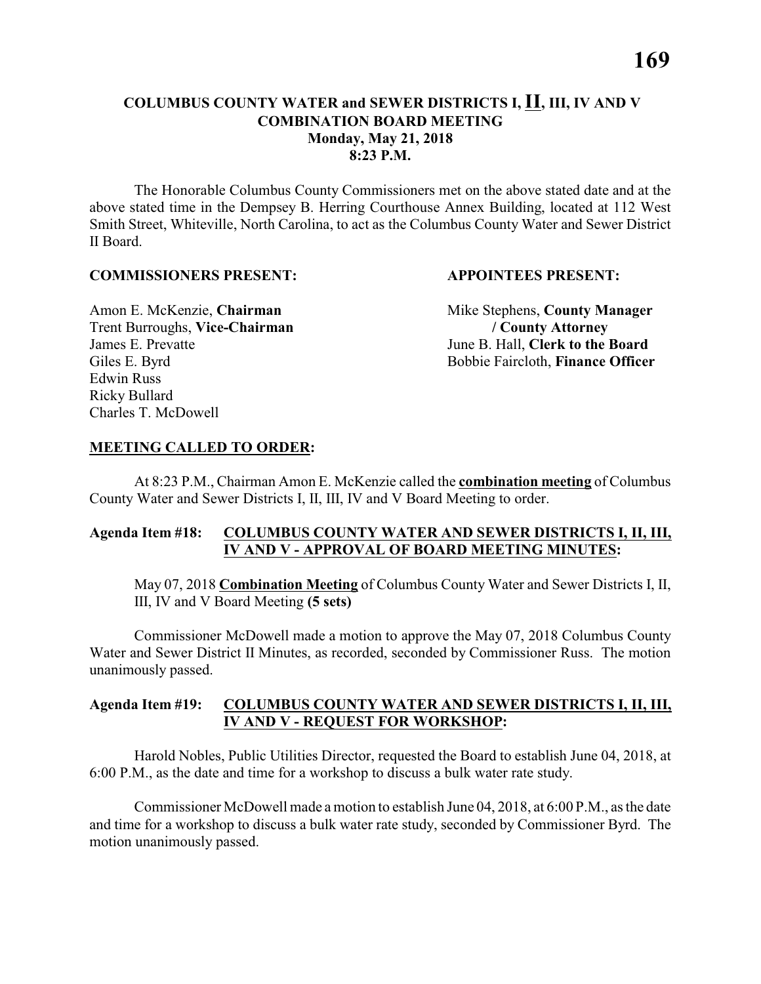# **COLUMBUS COUNTY WATER and SEWER DISTRICTS I, II, III, IV AND V COMBINATION BOARD MEETING Monday, May 21, 2018 8:23 P.M.**

The Honorable Columbus County Commissioners met on the above stated date and at the above stated time in the Dempsey B. Herring Courthouse Annex Building, located at 112 West Smith Street, Whiteville, North Carolina, to act as the Columbus County Water and Sewer District II Board.

#### **COMMISSIONERS PRESENT: APPOINTEES PRESENT:**

Trent Burroughs, **Vice-Chairman / County Attorney** James E. Prevatte June B. Hall, **Clerk to the Board** Edwin Russ Ricky Bullard Charles T. McDowell

Amon E. McKenzie, **Chairman** Mike Stephens, **County Manager** Giles E. Byrd Bobbie Faircloth, **Finance Officer** 

#### **MEETING CALLED TO ORDER:**

At 8:23 P.M., Chairman Amon E. McKenzie called the **combination meeting** of Columbus County Water and Sewer Districts I, II, III, IV and V Board Meeting to order.

# **Agenda Item #18: COLUMBUS COUNTY WATER AND SEWER DISTRICTS I, II, III, IV AND V - APPROVAL OF BOARD MEETING MINUTES:**

May 07, 2018 **Combination Meeting** of Columbus County Water and Sewer Districts I, II, III, IV and V Board Meeting **(5 sets)**

Commissioner McDowell made a motion to approve the May 07, 2018 Columbus County Water and Sewer District II Minutes, as recorded, seconded by Commissioner Russ. The motion unanimously passed.

# **Agenda Item #19: COLUMBUS COUNTY WATER AND SEWER DISTRICTS I, II, III, IV AND V - REQUEST FOR WORKSHOP:**

Harold Nobles, Public Utilities Director, requested the Board to establish June 04, 2018, at 6:00 P.M., as the date and time for a workshop to discuss a bulk water rate study.

Commissioner McDowell made a motion to establish June 04, 2018, at 6:00 P.M., as the date and time for a workshop to discuss a bulk water rate study, seconded by Commissioner Byrd. The motion unanimously passed.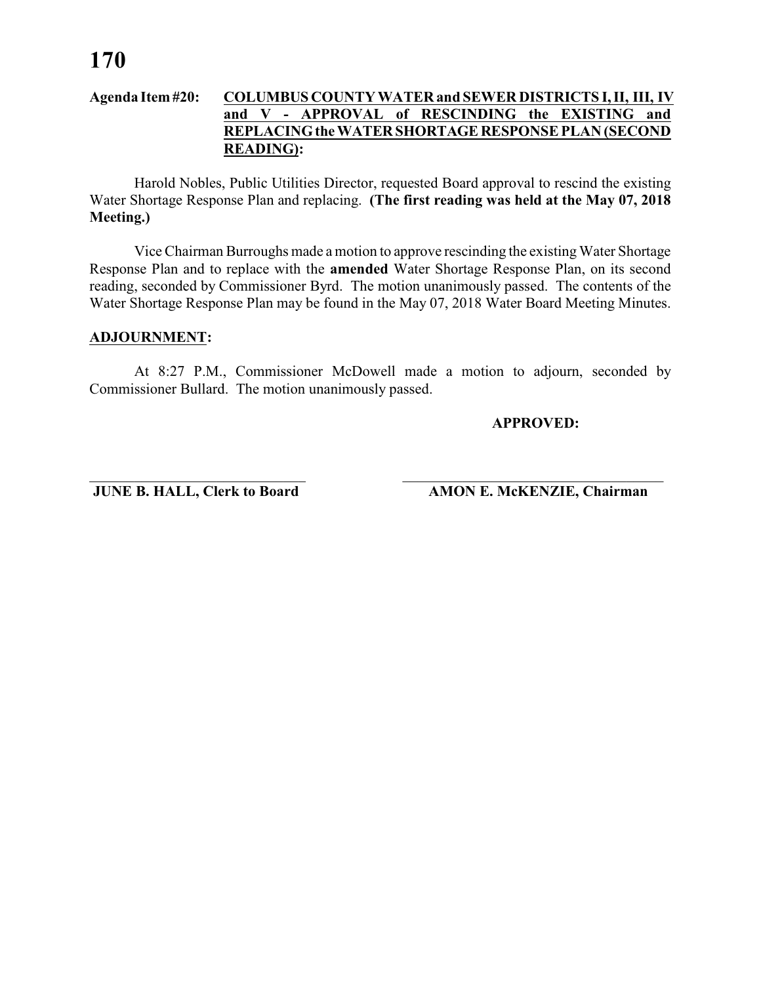#### **Agenda Item #20: COLUMBUS COUNTY WATER and SEWER DISTRICTS I, II, III, IV and V - APPROVAL of RESCINDING the EXISTING and REPLACING the WATER SHORTAGE RESPONSE PLAN (SECOND READING):**

Harold Nobles, Public Utilities Director, requested Board approval to rescind the existing Water Shortage Response Plan and replacing. **(The first reading was held at the May 07, 2018 Meeting.)**

Vice Chairman Burroughs made a motion to approve rescinding the existing Water Shortage Response Plan and to replace with the **amended** Water Shortage Response Plan, on its second reading, seconded by Commissioner Byrd. The motion unanimously passed. The contents of the Water Shortage Response Plan may be found in the May 07, 2018 Water Board Meeting Minutes.

#### **ADJOURNMENT:**

At 8:27 P.M., Commissioner McDowell made a motion to adjourn, seconded by Commissioner Bullard. The motion unanimously passed.

\_\_\_\_\_\_\_\_\_\_\_\_\_\_\_\_\_\_\_\_\_\_\_\_\_\_\_\_\_ \_\_\_\_\_\_\_\_\_\_\_\_\_\_\_\_\_\_\_\_\_\_\_\_\_\_\_\_\_\_\_\_\_\_\_

**APPROVED:**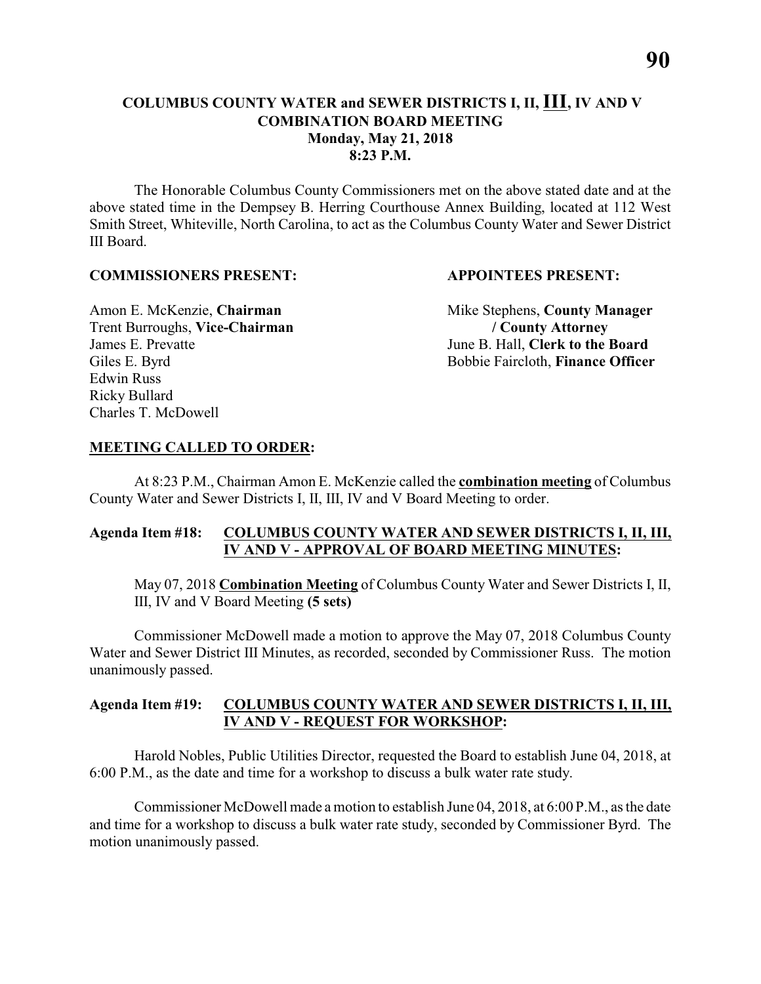# **COLUMBUS COUNTY WATER and SEWER DISTRICTS I, II, III, IV AND V COMBINATION BOARD MEETING Monday, May 21, 2018 8:23 P.M.**

The Honorable Columbus County Commissioners met on the above stated date and at the above stated time in the Dempsey B. Herring Courthouse Annex Building, located at 112 West Smith Street, Whiteville, North Carolina, to act as the Columbus County Water and Sewer District III Board.

#### **COMMISSIONERS PRESENT: APPOINTEES PRESENT:**

Trent Burroughs, **Vice-Chairman / County Attorney** James E. Prevatte June B. Hall, **Clerk to the Board** Edwin Russ Ricky Bullard Charles T. McDowell

Amon E. McKenzie, **Chairman** Mike Stephens, **County Manager** Giles E. Byrd Bobbie Faircloth, **Finance Officer** 

#### **MEETING CALLED TO ORDER:**

At 8:23 P.M., Chairman Amon E. McKenzie called the **combination meeting** of Columbus County Water and Sewer Districts I, II, III, IV and V Board Meeting to order.

# **Agenda Item #18: COLUMBUS COUNTY WATER AND SEWER DISTRICTS I, II, III, IV AND V - APPROVAL OF BOARD MEETING MINUTES:**

May 07, 2018 **Combination Meeting** of Columbus County Water and Sewer Districts I, II, III, IV and V Board Meeting **(5 sets)**

Commissioner McDowell made a motion to approve the May 07, 2018 Columbus County Water and Sewer District III Minutes, as recorded, seconded by Commissioner Russ. The motion unanimously passed.

# **Agenda Item #19: COLUMBUS COUNTY WATER AND SEWER DISTRICTS I, II, III, IV AND V - REQUEST FOR WORKSHOP:**

Harold Nobles, Public Utilities Director, requested the Board to establish June 04, 2018, at 6:00 P.M., as the date and time for a workshop to discuss a bulk water rate study.

Commissioner McDowell made a motion to establish June 04, 2018, at 6:00 P.M., as the date and time for a workshop to discuss a bulk water rate study, seconded by Commissioner Byrd. The motion unanimously passed.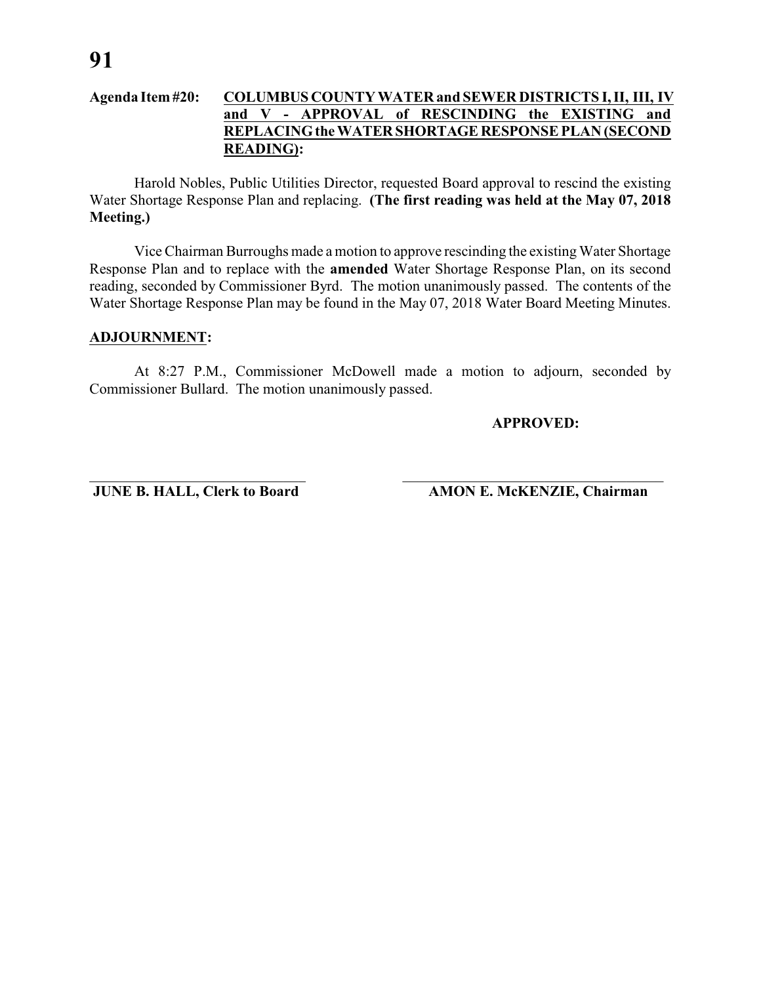#### **Agenda Item #20: COLUMBUS COUNTY WATER and SEWER DISTRICTS I, II, III, IV and V - APPROVAL of RESCINDING the EXISTING and REPLACING the WATER SHORTAGE RESPONSE PLAN (SECOND READING):**

Harold Nobles, Public Utilities Director, requested Board approval to rescind the existing Water Shortage Response Plan and replacing. **(The first reading was held at the May 07, 2018 Meeting.)**

Vice Chairman Burroughs made a motion to approve rescinding the existing Water Shortage Response Plan and to replace with the **amended** Water Shortage Response Plan, on its second reading, seconded by Commissioner Byrd. The motion unanimously passed. The contents of the Water Shortage Response Plan may be found in the May 07, 2018 Water Board Meeting Minutes.

#### **ADJOURNMENT:**

At 8:27 P.M., Commissioner McDowell made a motion to adjourn, seconded by Commissioner Bullard. The motion unanimously passed.

\_\_\_\_\_\_\_\_\_\_\_\_\_\_\_\_\_\_\_\_\_\_\_\_\_\_\_\_\_ \_\_\_\_\_\_\_\_\_\_\_\_\_\_\_\_\_\_\_\_\_\_\_\_\_\_\_\_\_\_\_\_\_\_\_

**APPROVED:**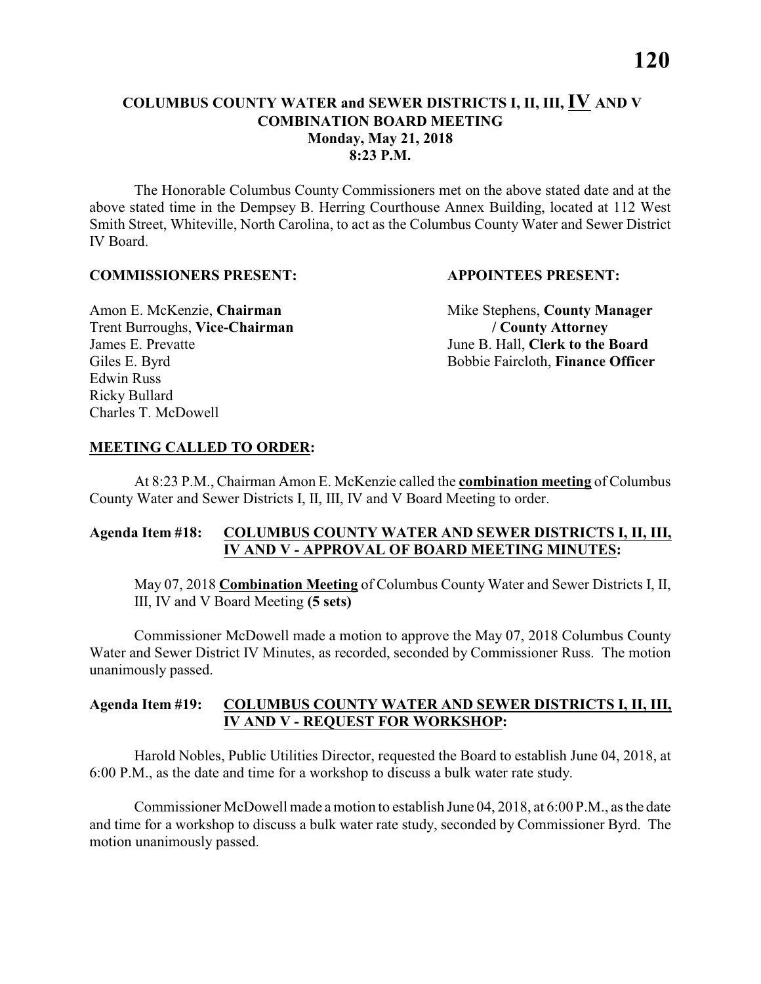# **COLUMBUS COUNTY WATER and SEWER DISTRICTS I, II, III, IV AND V COMBINATION BOARD MEETING Monday, May 21, 2018 8:23 P.M.**

The Honorable Columbus County Commissioners met on the above stated date and at the above stated time in the Dempsey B. Herring Courthouse Annex Building, located at 112 West Smith Street, Whiteville, North Carolina, to act as the Columbus County Water and Sewer District IV Board.

#### **COMMISSIONERS PRESENT: APPOINTEES PRESENT:**

Trent Burroughs, **Vice-Chairman / County Attorney** James E. Prevatte June B. Hall, **Clerk to the Board** Edwin Russ Ricky Bullard Charles T. McDowell

Amon E. McKenzie, **Chairman** Mike Stephens, **County Manager** Giles E. Byrd Bobbie Faircloth, **Finance Officer** 

# **MEETING CALLED TO ORDER:**

At 8:23 P.M., Chairman Amon E. McKenzie called the **combination meeting** of Columbus County Water and Sewer Districts I, II, III, IV and V Board Meeting to order.

# **Agenda Item #18: COLUMBUS COUNTY WATER AND SEWER DISTRICTS I, II, III, IV AND V - APPROVAL OF BOARD MEETING MINUTES:**

May 07, 2018 **Combination Meeting** of Columbus County Water and Sewer Districts I, II, III, IV and V Board Meeting **(5 sets)**

Commissioner McDowell made a motion to approve the May 07, 2018 Columbus County Water and Sewer District IV Minutes, as recorded, seconded by Commissioner Russ. The motion unanimously passed.

# **Agenda Item #19: COLUMBUS COUNTY WATER AND SEWER DISTRICTS I, II, III, IV AND V - REQUEST FOR WORKSHOP:**

Harold Nobles, Public Utilities Director, requested the Board to establish June 04, 2018, at 6:00 P.M., as the date and time for a workshop to discuss a bulk water rate study.

Commissioner McDowell made a motion to establish June 04, 2018, at 6:00 P.M., as the date and time for a workshop to discuss a bulk water rate study, seconded by Commissioner Byrd. The motion unanimously passed.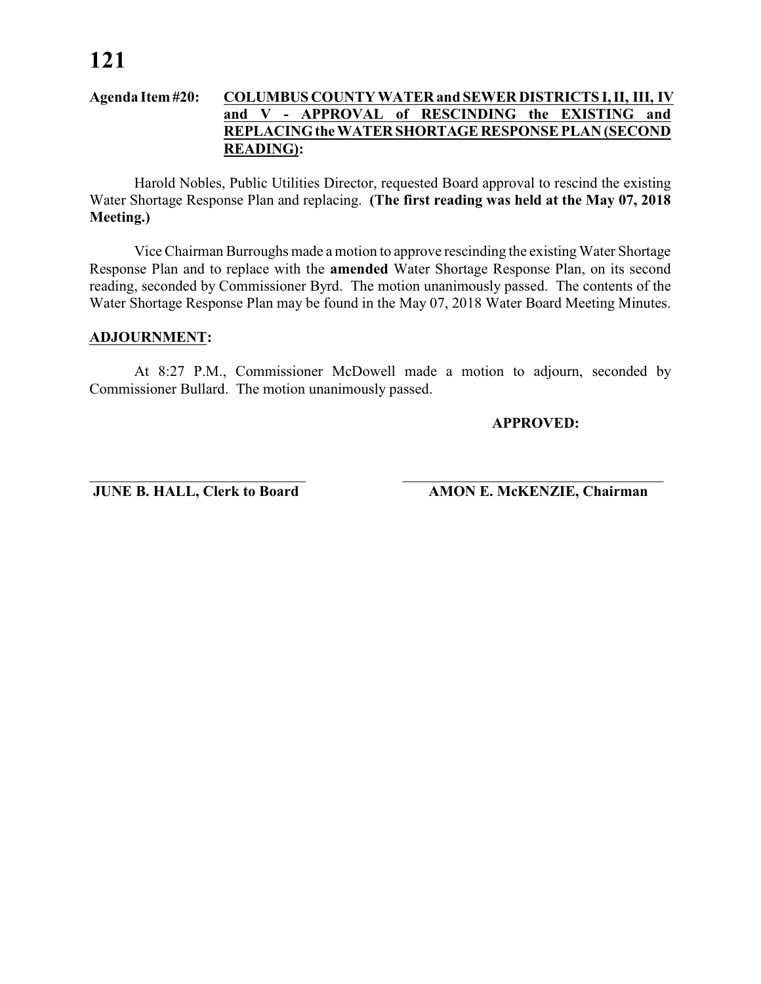#### **Agenda Item #20: COLUMBUS COUNTY WATER and SEWER DISTRICTS I, II, III, IV and V - APPROVAL of RESCINDING the EXISTING and REPLACING the WATER SHORTAGE RESPONSE PLAN (SECOND READING):**

Harold Nobles, Public Utilities Director, requested Board approval to rescind the existing Water Shortage Response Plan and replacing. **(The first reading was held at the May 07, 2018 Meeting.)**

Vice Chairman Burroughs made a motion to approve rescinding the existing Water Shortage Response Plan and to replace with the **amended** Water Shortage Response Plan, on its second reading, seconded by Commissioner Byrd. The motion unanimously passed. The contents of the Water Shortage Response Plan may be found in the May 07, 2018 Water Board Meeting Minutes.

#### **ADJOURNMENT:**

At 8:27 P.M., Commissioner McDowell made a motion to adjourn, seconded by Commissioner Bullard. The motion unanimously passed.

\_\_\_\_\_\_\_\_\_\_\_\_\_\_\_\_\_\_\_\_\_\_\_\_\_\_\_\_\_ \_\_\_\_\_\_\_\_\_\_\_\_\_\_\_\_\_\_\_\_\_\_\_\_\_\_\_\_\_\_\_\_\_\_\_

**APPROVED:**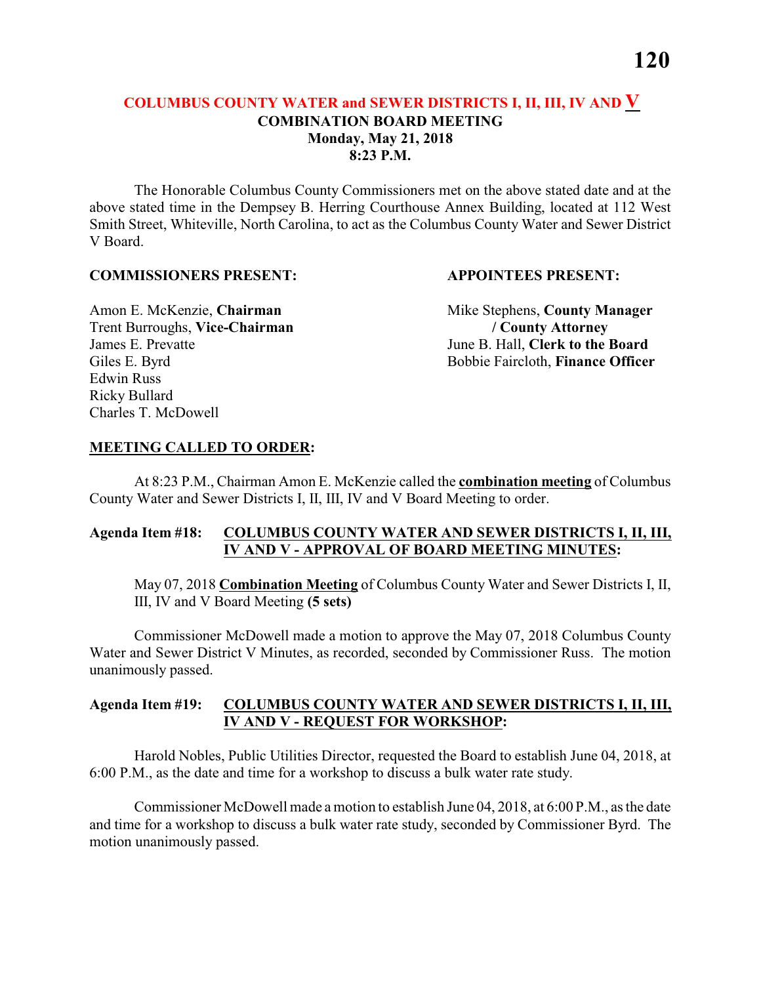# **COLUMBUS COUNTY WATER and SEWER DISTRICTS I, II, III, IV AND V COMBINATION BOARD MEETING Monday, May 21, 2018 8:23 P.M.**

The Honorable Columbus County Commissioners met on the above stated date and at the above stated time in the Dempsey B. Herring Courthouse Annex Building, located at 112 West Smith Street, Whiteville, North Carolina, to act as the Columbus County Water and Sewer District V Board.

#### **COMMISSIONERS PRESENT: APPOINTEES PRESENT:**

Trent Burroughs, **Vice-Chairman / County Attorney** James E. Prevatte June B. Hall, **Clerk to the Board** Edwin Russ Ricky Bullard Charles T. McDowell

Amon E. McKenzie, **Chairman** Mike Stephens, **County Manager** Giles E. Byrd Bobbie Faircloth, **Finance Officer** 

#### **MEETING CALLED TO ORDER:**

At 8:23 P.M., Chairman Amon E. McKenzie called the **combination meeting** of Columbus County Water and Sewer Districts I, II, III, IV and V Board Meeting to order.

# **Agenda Item #18: COLUMBUS COUNTY WATER AND SEWER DISTRICTS I, II, III, IV AND V - APPROVAL OF BOARD MEETING MINUTES:**

May 07, 2018 **Combination Meeting** of Columbus County Water and Sewer Districts I, II, III, IV and V Board Meeting **(5 sets)**

Commissioner McDowell made a motion to approve the May 07, 2018 Columbus County Water and Sewer District V Minutes, as recorded, seconded by Commissioner Russ. The motion unanimously passed.

# **Agenda Item #19: COLUMBUS COUNTY WATER AND SEWER DISTRICTS I, II, III, IV AND V - REQUEST FOR WORKSHOP:**

Harold Nobles, Public Utilities Director, requested the Board to establish June 04, 2018, at 6:00 P.M., as the date and time for a workshop to discuss a bulk water rate study.

Commissioner McDowell made a motion to establish June 04, 2018, at 6:00 P.M., as the date and time for a workshop to discuss a bulk water rate study, seconded by Commissioner Byrd. The motion unanimously passed.